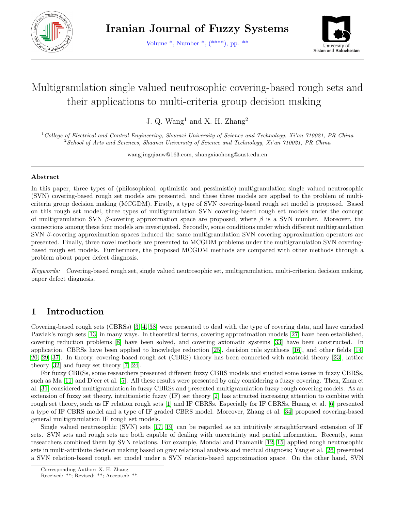<span id="page-0-0"></span>

Volume \*, Number \*, (\*\*\*\*), pp. \*\*



# Multigranulation single valued neutrosophic covering-based rough sets and their applications to multi-criteria group decision making

J. Q. Wang<sup>1</sup> and X. H. Zhang<sup>2</sup>

<sup>1</sup>College of Electrical and Control Engineering, Shaanxi University of Science and Technology, Xi'an 710021, PR China  $2$ School of Arts and Sciences, Shaanxi University of Science and Technology, Xi'an 710021, PR China

wangjingqianw@163.com, zhangxiaohong@sust.edu.cn

#### Abstract

In this paper, three types of (philosophical, optimistic and pessimistic) multigranulation single valued neutrosophic (SVN) covering-based rough set models are presented, and these three models are applied to the problem of multicriteria group decision making (MCGDM). Firstly, a type of SVN covering-based rough set model is proposed. Based on this rough set model, three types of multigranulation SVN covering-based rough set models under the concept of multigranulation SVN β-covering approximation space are proposed, where  $\beta$  is a SVN number. Moreover, the connections among these four models are investigated. Secondly, some conditions under which different multigranulation SVN  $\beta$ -covering approximation spaces induced the same multigranulation SVN covering approximation operators are presented. Finally, three novel methods are presented to MCGDM problems under the multigranulation SVN coveringbased rough set models. Furthermore, the proposed MCGDM methods are compared with other methods through a problem about paper defect diagnosis.

Keywords: Covering-based rough set, single valued neutrosophic set, multigranulation, multi-criterion decision making, paper defect diagnosis.

## 1 Introduction

Covering-based rough sets (CBRSs) [\[3,](#page-15-0) [4,](#page-15-1) [38\]](#page-17-0) were presented to deal with the type of covering data, and have enriched Pawlak's rough sets [\[13\]](#page-16-0) in many ways. In theoretical terms, covering approximation models [\[27\]](#page-16-1) have been established, covering reduction problems [\[8\]](#page-16-2) have been solved, and covering axiomatic systems [\[33\]](#page-17-1) have been constructed. In application, CBRSs have been applied to knowledge reduction [\[25\]](#page-16-3), decision rule synthesis [\[16\]](#page-16-4), and other fields [\[14,](#page-16-5) [20,](#page-16-6) [29,](#page-17-2) [37\]](#page-17-3). In theory, covering-based rough set (CBRS) theory has been connected with matroid theory [\[23\]](#page-16-7), lattice theory [\[32\]](#page-17-4) and fuzzy set theory [\[7,](#page-16-8) [24\]](#page-16-9).

For fuzzy CBRSs, some researchers presented different fuzzy CBRS models and studied some issues in fuzzy CBRSs, such as Ma [\[11\]](#page-16-10) and D'eer et al. [\[5\]](#page-15-2). All these results were presented by only considering a fuzzy covering. Then, Zhan et al. [\[31\]](#page-17-5) considered multigranulation in fuzzy CBRSs and presented multigranulation fuzzy rough covering models. As an extension of fuzzy set theory, intuitionistic fuzzy (IF) set theory [\[2\]](#page-15-3) has attracted increasing attention to combine with rough set theory, such us IF relation rough sets [\[1\]](#page-15-4) and IF CBRSs. Especially for IF CBRSs, Huang et al. [\[6\]](#page-16-11) presented a type of IF CBRS model and a type of IF graded CBRS model. Moreover, Zhang et al. [\[34\]](#page-17-6) proposed covering-based general multigranulation IF rough set models.

Single valued neutrosophic (SVN) sets [\[17,](#page-16-12) [19\]](#page-16-13) can be regarded as an intuitively straightforward extension of IF sets. SVN sets and rough sets are both capable of dealing with uncertainty and partial information. Recently, some researchers combined them by SVN relations. For example, Mondal and Pramanik [\[12,](#page-16-14) [15\]](#page-16-15) applied rough neutrosophic sets in multi-attribute decision making based on grey relational analysis and medical diagnosis; Yang et al. [\[26\]](#page-16-16) presented a SVN relation-based rough set model under a SVN relation-based approximation space. On the other hand, SVN

Corresponding Author: X. H. Zhang

Received: \*\*; Revised: \*\*; Accepted: \*\*.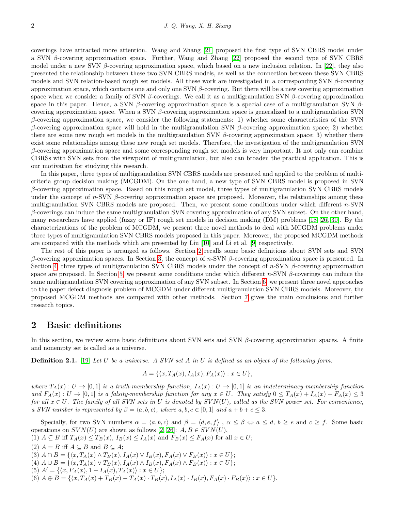coverings have attracted more attention. Wang and Zhang [\[21\]](#page-16-17) proposed the first type of SVN CBRS model under a SVN β-covering approximation space. Further, Wang and Zhang [\[22\]](#page-16-18) proposed the second type of SVN CBRS model under a new SVN  $\beta$ -covering approximation space, which based on a new inclusion relation. In [\[22\]](#page-16-18), they also presented the relationship between these two SVN CBRS models, as well as the connection between these SVN CBRS models and SVN relation-based rough set models. All these work are investigated in a corresponding SVN  $\beta$ -covering approximation space, which contains one and only one SVN  $\beta$ -covering. But there will be a new covering approximation space when we consider a family of SVN β-coverings. We call it as a multigranulation SVN β-covering approximation space in this paper. Hence, a SVN β-covering approximation space is a special case of a multigranulation SVN  $\beta$ covering approximation space. When a SVN  $\beta$ -covering approximation space is generalized to a multigranulation SVN β-covering approximation space, we consider the following statements: 1) whether some characteristics of the SVN β-covering approximation space will hold in the multigranulation SVN β-covering approximation space; 2) whether there are some new rough set models in the multigranulation SVN  $\beta$ -covering approximation space; 3) whether there exist some relationships among these new rough set models. Therefore, the investigation of the multigranulation SVN β-covering approximation space and some corresponding rough set models is very important. It not only can combine CBRSs with SVN sets from the viewpoint of multigranulation, but also can broaden the practical application. This is our motivation for studying this research.

In this paper, three types of multigranulation SVN CBRS models are presented and applied to the problem of multicriteria group decision making (MCGDM). On the one hand, a new type of SVN CBRS model is proposed in SVN  $β$ -covering approximation space. Based on this rough set model, three types of multigranulation SVN CBRS models under the concept of n-SVN  $\beta$ -covering approximation space are proposed. Moreover, the relationships among these multigranulation SVN CBRS models are proposed. Then, we present some conditions under which different  $n$ -SVN  $\beta$ -coverings can induce the same multigranulation SVN covering approximation of any SVN subset. On the other hand, many researchers have applied (fuzzy or IF) rough set models in decision making (DM) problems [\[18,](#page-16-19) [26,](#page-16-16) [30\]](#page-17-7). By the characterizations of the problem of MCGDM, we present three novel methods to deal with MCGDM problems under three types of multigranulation SVN CBRS models proposed in this paper. Moreover, the proposed MCGDM methods are compared with the methods which are presented by Liu [\[10\]](#page-16-20) and Li et al. [\[9\]](#page-16-21) respectively.

The rest of this paper is arranged as follows. Section [2](#page-1-0) recalls some basic definitions about SVN sets and SVN β-covering approximation spaces. In Section [3,](#page-2-0) the concept of n-SVN β-covering approximation space is presented. In Section [4,](#page-3-0) three types of multigranulation SVN CBRS models under the concept of  $n$ -SVN  $\beta$ -covering approximation space are proposed. In Section [5,](#page-9-0) we present some conditions under which different n-SVN β-coverings can induce the same multigranulation SVN covering approximation of any SVN subset. In Section [6,](#page-11-0) we present three novel approaches to the paper defect diagnosis problem of MCGDM under different multigranulation SVN CBRS models. Moreover, the proposed MCGDM methods are compared with other methods. Section [7](#page-15-5) gives the main conclusions and further research topics.

#### <span id="page-1-0"></span>2 Basic definitions

In this section, we review some basic definitions about SVN sets and SVN  $\beta$ -covering approximation spaces. A finite and nonempty set is called as a universe.

**Definition 2.1.** [\[19\]](#page-16-13) Let U be a universe. A SVN set A in U is defined as an object of the following form:

$$
A = \{ \langle x, T_A(x), I_A(x), F_A(x) \rangle : x \in U \},\
$$

where  $T_A(x): U \to [0,1]$  is a truth-membership function,  $I_A(x): U \to [0,1]$  is an indeterminacy-membership function and  $F_A(x): U \to [0,1]$  is a falsity-membership function for any  $x \in U$ . They satisfy  $0 \leq T_A(x) + T_A(x) + F_A(x) \leq 3$ for all  $x \in U$ . The family of all SVN sets in U is denoted by  $SVN(U)$ , called as the SVN power set. For convenience, a SVN number is represented by  $\beta = \langle a, b, c \rangle$ , where  $a, b, c \in [0, 1]$  and  $a + b + c \leq 3$ .

Specially, for two SVN numbers  $\alpha = \langle a, b, c \rangle$  and  $\beta = \langle d, e, f \rangle$ ,  $\alpha \leq \beta \Leftrightarrow a \leq d, b \geq e$  and  $c \geq f$ . Some basic operations on  $SVN(U)$  are shown as follows [\[2,](#page-15-3) [26\]](#page-16-16):  $A, B \in SVN(U)$ ,

(1)  $A \subseteq B$  iff  $T_A(x) \leq T_B(x)$ ,  $I_B(x) \leq I_A(x)$  and  $F_B(x) \leq F_A(x)$  for all  $x \in U$ ;

(2)  $A = B$  iff  $A \subseteq B$  and  $B \subseteq A$ ;

- (3)  $A \cap B = \{ \langle x, T_A(x) \land T_B(x), I_A(x) \lor I_B(x), F_A(x) \lor F_B(x) \rangle : x \in U \};$
- (4)  $A \cup B = \{ \langle x, T_A(x) \vee T_B(x), I_A(x) \wedge I_B(x), F_A(x) \wedge F_B(x) \rangle : x \in U \};$
- (5)  $A' = \{ \langle x, F_A(x), 1 I_A(x), T_A(x) \rangle : x \in U \};$
- (6)  $A \oplus B = \{ \langle x, T_A(x) + T_B(x) T_A(x) \cdot T_B(x), I_A(x) \cdot I_B(x), F_A(x) \cdot F_B(x) \rangle : x \in U \}.$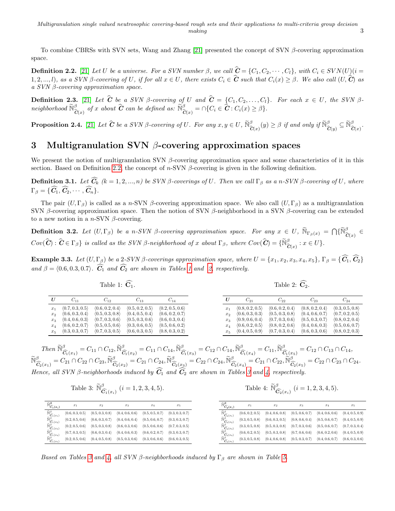To combine CBRSs with SVN sets, Wang and Zhang [\[21\]](#page-16-17) presented the concept of SVN  $\beta$ -covering approximation space.

<span id="page-2-1"></span>**Definition 2.2.** [\[21\]](#page-16-17) Let U be a universe. For a SVN number  $\beta$ , we call  $\hat{\mathbf{C}} = \{C_1, C_2, \cdots, C_l\}$ , with  $C_i \in SVN(U)(i =$ 1, 2, ..., l), as a SVN β-covering of U, if for all  $x \in U$ , there exists  $C_i \in \hat{\mathbf{C}}$  such that  $C_i(x) \geq \beta$ . We also call  $(U, \hat{\mathbf{C}})$  as a SVN β-covering approximation space.

<span id="page-2-6"></span>**Definition 2.3.** [\[21\]](#page-16-17) Let C be a SVN  $\beta$ -covering of U and  $C = \{C_1, C_2, ..., C_l\}$ . For each  $x \in U$ , the SVN  $\beta$ neighborhood  $\widetilde{\mathbb{N}}^{\beta}_{\widehat{\mathbf{C}}(x)}$  of x about  $\widehat{\mathbf{C}}$  can be defined as:  $\widetilde{\mathbb{N}}^{\beta}_{\widehat{\mathbf{C}}(x)} = \cap \{C_i \in \widehat{\mathbf{C}} : C_i(x) \geq \beta\}.$ 

**Proposition 2.4.** [\[21\]](#page-16-17) Let  $\widehat{C}$  be a SVN  $\beta$ -covering of U. For any  $x, y \in U$ ,  $\widetilde{\mathbb{N}}_{\widehat{C}(x)}^{\beta}(y) \geq \beta$  if and only if  $\widetilde{\mathbb{N}}_{\widehat{C}(y)}^{\beta} \subseteq \widetilde{\mathbb{N}}_{\widehat{C}(x)}^{\beta}$ .

## <span id="page-2-0"></span>3 Multigranulation SVN  $\beta$ -covering approximation spaces

We present the notion of multigranulation SVN  $\beta$ -covering approximation space and some characteristics of it in this section. Based on Definition [2.2,](#page-2-1) the concept of n-SVN  $\beta$ -covering is given in the following definition.

**Definition 3.1.** Let  $\widehat{C}_k$  (k = 1, 2, ..., n) be SVN β-coverings of U. Then we call  $\Gamma_\beta$  as a n-SVN β-covering of U, where  $\Gamma_{\beta} = \{ \widehat{C}_1, \widehat{C}_2, \cdots, \widehat{C}_n \}.$ 

The pair  $(U, \Gamma_\beta)$  is called as a n-SVN β-covering approximation space. We also call  $(U, \Gamma_\beta)$  as a multigranulation SVN β-covering approximation space. Then the notion of SVN β-neighborhood in a SVN β-covering can be extended to a new notion in a n-SVN  $\beta$ -covering.

<span id="page-2-4"></span>**Definition 3.2.** Let  $(U, \Gamma_{\beta})$  be a n-SVN  $\beta$ -covering approximation space. For any  $x \in U$ ,  $\widetilde{\mathbb{N}}_{\Gamma_{\beta}(x)} = \bigcap \{\widetilde{\mathbb{N}}_{\widetilde{C}(x)}^{\beta} \in \widetilde{\mathbb{N}}_{\widetilde{C}(x)} \}$  $Cov(\widehat{\boldsymbol{C}}): \widehat{\boldsymbol{C}} \in \Gamma_{\beta} \}$  is called as the SVN β-neighborhood of x about  $\Gamma_{\beta}$ , where  $Cov(\widehat{\boldsymbol{C}}) = \{\widetilde{\mathbb{N}}_{\widehat{\boldsymbol{C}}(x)}^{\beta} : x \in U\}$ .

<span id="page-2-5"></span>**Example 3.3.** Let  $(U, \Gamma_{\beta})$  be a 2-SVN  $\beta$ -coverings approximation space, where  $U = \{x_1, x_2, x_3, x_4, x_5\}$ ,  $\Gamma_{\beta} = \{\widehat{C_1}, \widehat{C_2}\}$ and  $\beta = \langle 0.6, 0.3, 0.7 \rangle$ .  $\widehat{C}_1$  and  $\widehat{C}_2$  are shown in Tables [1](#page-2-2) and [2,](#page-2-2) respectively.

Table 1:  $\widehat{\mathbf{C}}_1$ .

Table 2:  $\widehat{\mathbf{C}}_2$ .

<span id="page-2-2"></span>

|         | $C_{11}$                        | $C_{12}$                        | $C_{13}$                        | $\mathrm{C}_{14}$               |
|---------|---------------------------------|---------------------------------|---------------------------------|---------------------------------|
| $x_1$   | (0.7, 0.3, 0.5)                 | (0.6, 0.2, 0.4)                 | $\langle 0.5, 0.2, 0.5 \rangle$ | (0.2, 0.5, 0.6)                 |
| $x_2$   | (0.6, 0.3, 0.4)                 | (0.5, 0.3, 0.8)                 | (0.4, 0.5, 0.4)                 | $\langle 0.6, 0.2, 0.7 \rangle$ |
| $x_3$   | (0.4, 0.6, 0.3)                 | (0.7, 0.3, 0.6)                 | (0.5, 0.3, 0.6)                 | $\langle 0.6, 0.3, 0.4 \rangle$ |
| $x_4$   | (0.6, 0.2, 0.7)                 | $\langle 0.5, 0.5, 0.6 \rangle$ | (0.3, 0.6, 0.5)                 | $\langle 0.5, 0.6, 0.2 \rangle$ |
| $x_{5}$ | $\langle 0.3, 0.3, 0.7 \rangle$ | (0.7, 0.3, 0.5)                 | (0.6, 0.3, 0.5)                 | $\langle 0.8, 0.3, 0.2 \rangle$ |

 $\widetilde{\mathcal{R}}^{\beta}_{\widehat{G}_1(x_1)}=C_{11}\cap C_{12}, \widetilde{\mathbb{N}}^{\beta}_{\widehat{G}_1(x_2)}=C_{11}\cap C_{14}, \widetilde{\mathbb{N}}^{\beta}_{\widehat{G}_1(x_3)}=C_{12}\cap C_{14}, \widetilde{\mathbb{N}}^{\beta}_{\widehat{G}_1(x_4)}=C_{11}, \widetilde{\mathbb{N}}^{\beta}_{\widehat{G}_1(x_5)}=C_{12}\cap C_{13}\cap C_{14},$  $\widetilde{\mathbb{N}}_{\widehat{C}_2(x_1)}^{\beta}=C_{21}\cap C_{22}\cap C_{23}, \widetilde{\mathbb{N}}_{\widehat{C}_2(x_2)}^{\beta}=C_{21}\cap C_{24}, \widetilde{\mathbb{N}}_{\widehat{C}_2(x_3)}^{\beta}=C_{22}\cap C_{24}, \widetilde{\mathbb{N}}_{\widehat{C}_2(x_4)}^{\beta}=C_{21}\cap C_{22}, \widetilde{\mathbb{N}}_{\widehat{C}_2(x_5)}^{\beta}=C_{22}\cap C_{23}\cap C_{24}.$ Hence, all SVN  $\beta$ -neighborhoods induced by  $\widehat{C}_1$  and  $\widehat{C}_2$  are shown in Tables [3](#page-2-3) and [4,](#page-2-3) respectively.

Table 3: 
$$
\widetilde{\mathbb{N}}_{\widehat{\mathbf{C}}_1(x_i)}^{\beta}
$$
  $(i = 1, 2, 3, 4, 5)$ .

Table 4: 
$$
\widetilde{\mathbb{N}}_{\widehat{\mathbf{C}}_2(x_i)}^{\beta}
$$
  $(i = 1, 2, 3, 4, 5)$ .

<span id="page-2-3"></span>

| $\widetilde{\mathbb{N}}^{\boldsymbol{\beta}}_{\widehat{\mathbf{C}}_1(x_i)}$ | $x_1$                           | $x_2$                           | $x_3$                           | $x_4$                           | $x_5$                           | $\overline{C_2}(x_i)$                                                    | x                               | $x_2$                           | $x_3$                           | $x_4$                           | $x_5$                           |
|-----------------------------------------------------------------------------|---------------------------------|---------------------------------|---------------------------------|---------------------------------|---------------------------------|--------------------------------------------------------------------------|---------------------------------|---------------------------------|---------------------------------|---------------------------------|---------------------------------|
| $\widetilde{\mathbb{N}}^{\beta}_{\widehat{\mathbf{C}}_1(x_{1})}$            | $\langle 0.6, 0.3, 0.5 \rangle$ | $\langle 0.5, 0.3, 0.8 \rangle$ | $\langle 0.4, 0.6, 0.6 \rangle$ | $\langle 0.5, 0.5, 0.7 \rangle$ | $\langle 0.3, 0.3, 0.7 \rangle$ | $\widetilde{\mathbb{N}}^{\beta}$<br>${}^{\vee}\widehat{\mathbf{C}}_2(x)$ | $\langle 0.6, 0.2, 0.5 \rangle$ | $\langle 0.4, 0.6, 0.8 \rangle$ | $\langle 0.5, 0.6, 0.7 \rangle$ | $\langle 0.4, 0.6, 0.6 \rangle$ | $\langle 0.4, 0.5, 0.9 \rangle$ |
| $\widetilde{\mathbb{N}}^{\beta}_{\widehat{\mathbf{C}}_1(x_2)}$              | (0.2, 0.5, 0.6)                 | $\langle 0.6, 0.3, 0.7 \rangle$ | $\langle 0.4, 0.6, 0.4 \rangle$ | $\langle 0.5, 0.6, 0.7 \rangle$ | $\langle 0.3, 0.3, 0.7 \rangle$ | $\widetilde{\mathbb{N}}^{\beta}_{\widehat{\mathbf{C}}_2(x_{2})}$         | (0.3, 0.5, 0.8)                 | $\langle 0.6, 0.3, 0.5 \rangle$ | $\langle 0.8, 0.6, 0.4 \rangle$ | $\langle 0.5, 0.6, 0.7 \rangle$ | $\langle 0.4, 0.5, 0.9 \rangle$ |
| $\widetilde{\mathbb{N}}_{\widehat{\mathbf{C}}_1(x_3)}^{\beta}$              | (0.2, 0.5, 0.6)                 | $\langle 0.5, 0.3, 0.8 \rangle$ | $\langle 0.6, 0.3, 0.6 \rangle$ | $\langle 0.5, 0.6, 0.6 \rangle$ | $\langle 0.7, 0.3, 0.5 \rangle$ | $\widetilde{\mathbb{N}}_{\widehat{\mathbf{C}}_2(x_3)}^{\beta}$           | (0.3, 0.5, 0.8)                 | $\langle 0.5, 0.3, 0.8 \rangle$ | $\langle 0.7, 0.3, 0.6 \rangle$ | $\langle 0.5, 0.6, 0.7 \rangle$ | $\langle 0.7, 0.3, 0.4 \rangle$ |
| $\mathbb{N}^\beta_{\widehat{\mathbf{C}}_1(x_4)}$                            | (0.7, 0.3, 0.5)                 | $\langle 0.6, 0.3, 0.4 \rangle$ | $\langle 0.4, 0.6, 0.3 \rangle$ | $\langle 0.6, 0.2, 0.7 \rangle$ | $\langle 0.3, 0.3, 0.7 \rangle$ | $\widetilde{\mathbb{N}}^{\beta}_{\widehat{\mathbf{C}}_2(x_4)}$           | (0.6, 0.2, 0.5)                 | (0.5, 0.3, 0.8)                 | $\langle 0.7, 0.6, 0.6 \rangle$ | $\langle 0.6, 0.2, 0.6 \rangle$ | $\langle 0.4, 0.5, 0.9 \rangle$ |
| $\widetilde{\mathbb{N}}_{\widehat{\mathbf{C}}_1(x_5)}^{\widetilde{\beta}}$  | $\langle 0.2, 0.5, 0.6 \rangle$ | $\langle 0.4, 0.5, 0.8 \rangle$ | $\langle 0.5, 0.3, 0.6 \rangle$ | $\langle 0.3, 0.6, 0.6 \rangle$ | (0.6, 0.3, 0.5)                 | $\widetilde{\mathbb{N}}_{\widehat{\mathbf{C}}_2(x_5)}^{\tilde{\beta}}$   | (0.3, 0.5, 0.8)                 | (0.4, 0.6, 0.8)                 | $\langle 0.5, 0.3, 0.7 \rangle$ | $\langle 0.4, 0.6, 0.7 \rangle$ | $\langle 0.6, 0.3, 0.6 \rangle$ |

Based on Tables [3](#page-2-3) and [4,](#page-2-3) all SVN β-neighborhoods induced by  $\Gamma_\beta$  are shown in Table [5.](#page-3-1)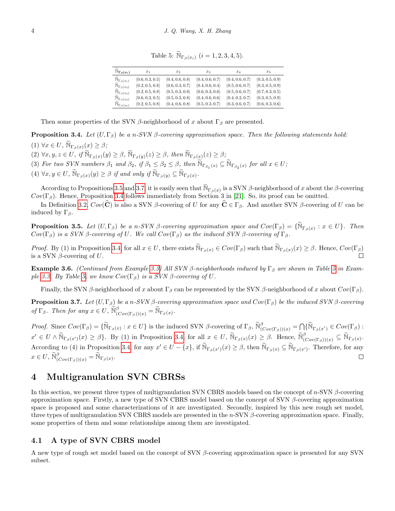Table 5:  $\widetilde{\mathbb{N}}_{\Gamma_{\beta}(x_i)}$   $(i = 1, 2, 3, 4, 5)$ .

| $\tilde{\phantom{a}}$<br>$\widetilde{\mathbb{N}}_{\Gamma_{\beta}(x_i)}$ | $x_1$           | $x_2$                           | $x_3$                           | $x_4$                           | $x_{5}$                         |
|-------------------------------------------------------------------------|-----------------|---------------------------------|---------------------------------|---------------------------------|---------------------------------|
| $\sum_{\alpha} \Gamma_{\beta}(x_1)$                                     | (0.6, 0.3, 0.5) | $\langle 0.4, 0.6, 0.8 \rangle$ | $\langle 0.4, 0.6, 0.7 \rangle$ | $\langle 0.4, 0.6, 0.7 \rangle$ | $\langle 0.3, 0.5, 0.9 \rangle$ |
| $\mathbb{N}_{\Gamma_{\beta}(x_2)}$                                      | (0.2, 0.5, 0.8) | $\langle 0.6, 0.3, 0.7 \rangle$ | $\langle 0.4, 0.6, 0.4 \rangle$ | $\langle 0.5, 0.6, 0.7 \rangle$ | $\langle 0.3, 0.5, 0.9 \rangle$ |
| $\overline{\mathbb{N}}_{\Gamma_\beta(x_3)}$                             | (0.2, 0.5, 0.8) | $\langle 0.5, 0.3, 0.8 \rangle$ | $\langle 0.6, 0.3, 0.6 \rangle$ | $\langle 0.5, 0.6, 0.7 \rangle$ | $\langle 0.7, 0.3, 0.5 \rangle$ |
| $\frac{\mathbb{N}}{\mathbb{C}}\Gamma_{\beta}(x_4)$                      | (0.6, 0.3, 0.5) | $\langle 0.5, 0.3, 0.8 \rangle$ | $\langle 0.4, 0.6, 0.6 \rangle$ | (0.4, 0.2, 0.7)                 | $\langle 0.3, 0.5, 0.9 \rangle$ |
| $\mathbb{N}_{\Gamma_{\beta}(x_5)}$                                      | (0.2, 0.5, 0.8) | $\langle 0.4, 0.6, 0.8 \rangle$ | $\langle 0.5, 0.3, 0.7 \rangle$ | $\langle 0.3, 0.6, 0.7 \rangle$ | $\langle 0.6, 0.3, 0.6 \rangle$ |

<span id="page-3-1"></span>Then some properties of the SVN  $\beta$ -neighborhood of x about  $\Gamma_\beta$  are presented.

<span id="page-3-4"></span>**Proposition 3.4.** Let  $(U, \Gamma_{\beta})$  be a n-SVN  $\beta$ -covering approximation space. Then the following statements hold:

(1)  $\forall x \in U$ ,  $\widetilde{\mathbb{N}}_{\Gamma_{\beta}(x)}(x) \geq \beta$ ;

 $(2) \forall x, y, z \in U, \text{ if } \widetilde{\mathbb{N}}_{\Gamma_{\beta}(x)}(y) \geq \beta, \widetilde{\mathbb{N}}_{\Gamma_{\beta}(y)}(z) \geq \beta, \text{ then } \widetilde{\mathbb{N}}_{\Gamma_{\beta}(x)}(z) \geq \beta;$ 

(3) For two SVN numbers  $\beta_1$  and  $\beta_2$ , if  $\beta_1 \leq \beta_2 \leq \beta$ , then  $\widetilde{\mathbb{N}}_{\Gamma_{\beta_1}(x)} \subseteq \widetilde{\mathbb{N}}_{\Gamma_{\beta_2}(x)}$  for all  $x \in U$ ;

(4)  $\forall x, y \in U$ ,  $\widetilde{\mathbb{N}}_{\Gamma_{\beta}(x)}(y) \geq \beta$  if and only if  $\widetilde{\mathbb{N}}_{\Gamma_{\beta}(y)} \subseteq \widetilde{\mathbb{N}}_{\Gamma_{\beta}(x)}$ .

According to Propositions [3.5](#page-3-2) and [3.7,](#page-3-3) it is easily seen that  $\widetilde{N}_{\Gamma_{\beta}(x)}$  is a SVN  $\beta$ -neighborhood of x about the  $\beta$ -covering  $Cov(\Gamma_{\beta})$ . Hence, Proposition [3.4](#page-3-4) follows immediately from Section 3 in [\[21\]](#page-16-17). So, its proof can be omitted.

In Definition [3.2,](#page-2-4)  $Cov(\mathbf{C})$  is also a SVN β-covering of U for any  $\mathbf{C} \in \Gamma_\beta$ . And another SVN β-covering of U can be induced by  $\Gamma_{\beta}$ .

<span id="page-3-2"></span>**Proposition 3.5.** Let  $(U, \Gamma_{\beta})$  be a n-SVN  $\beta$ -covering approximation space and  $Cov(\Gamma_{\beta}) = {\{\widetilde{N}_{\Gamma_{\beta}}(x) : x \in U\}}$ . Then  $Cov(\Gamma_\beta)$  is a SVN β-covering of U. We call  $Cov(\Gamma_\beta)$  as the induced SVN β-covering of  $\Gamma_\beta$ .

Proof. By (1) in Proposition [3.4,](#page-3-4) for all  $x \in U$ , there exists  $\widetilde{\mathbb{N}}_{\Gamma_{\beta}(x)} \in Cov(\Gamma_{\beta})$  such that  $\widetilde{\mathbb{N}}_{\Gamma_{\beta}(x)}(x) \geq \beta$ . Hence,  $Cov(\Gamma_{\beta})$ is a SVN  $\beta$ -covering of U.

**Example 3.6.** (Continued from Example [3.3\)](#page-2-5) All SVN β-neighborhoods induced by Γ<sub>β</sub> are shown in Table [5](#page-3-1) in Exam-ple [3.3.](#page-2-5) By Table [5,](#page-3-1) we know  $Cov(\Gamma_\beta)$  is a SVN  $\beta$ -covering of U.

Finally, the SVN β-neighborhood of x about  $\Gamma_\beta$  can be represented by the SVN β-neighborhood of x about  $Cov(\Gamma_\beta)$ .

<span id="page-3-3"></span>**Proposition 3.7.** Let  $(U, \Gamma_{\beta})$  be a n-SVN β-covering approximation space and  $Cov(\Gamma_{\beta})$  be the induced SVN β-covering of  $\Gamma_{\beta}$ . Then for any  $x \in U$ ,  $\widetilde{\mathbb{N}}_{(Cov(\Gamma_{\beta}))}(x) = \widetilde{\mathbb{N}}_{\Gamma_{\beta}}(x)$ .

Proof. Since  $Cov(\Gamma_{\beta}) = {\{\widetilde{\mathbb{N}}_{\Gamma_{\beta}(x)} : x \in U\}}$  is the induced SVN  $\beta$ -covering of  $\Gamma_{\beta}$ ,  $\widetilde{\mathbb{N}}_{(Cov(\Gamma_{\beta}))}(x) = \bigcap {\{\widetilde{\mathbb{N}}_{\Gamma_{\beta}(x')}} \in Cov(\Gamma_{\beta})$ :  $x' \in U \wedge \widetilde{\mathbb{N}}_{\Gamma_{\beta}(x')}(x) \geq \beta$ . By (1) in Proposition [3.4,](#page-3-4) for all  $x \in U$ ,  $\widetilde{\mathbb{N}}_{\Gamma_{\beta}(x)}(x) \geq \beta$ . Hence,  $\widetilde{\mathbb{N}}_{(Cov(\Gamma_{\beta}))}(x) \subseteq \widetilde{\mathbb{N}}_{\Gamma_{\beta}(x)}$ . According to (4) in Proposition [3.4,](#page-3-4) for any  $x' \in U - \{x\}$ , if  $\widetilde{\mathbb{N}}_{\Gamma_\beta(x')}(x) \geq \beta$ , then  $\widetilde{\mathbb{N}}_{\Gamma_\beta(x)} \subseteq \widetilde{\mathbb{N}}_{\Gamma_\beta(x')}$ . Therefore, for any  $x \in U$ ,  $\widetilde{\mathbb{N}}_{(Cov(\Gamma_{\beta}))(x)}^{\beta} = \widetilde{\mathbb{N}}_{\Gamma_{\beta}(x)}$ .  $\Box$ 

## <span id="page-3-0"></span>4 Multigranulation SVN CBRSs

In this section, we present three types of multigranulation SVN CBRS models based on the concept of  $n$ -SVN  $\beta$ -covering approximation space. Firstly, a new type of SVN CBRS model based on the concept of SVN  $\beta$ -covering approximation space is proposed and some characterizations of it are investigated. Secondly, inspired by this new rough set model, three types of multigranulation SVN CBRS models are presented in the  $n$ -SVN  $\beta$ -covering approximation space. Finally, some properties of them and some relationships among them are investigated.

#### 4.1 A type of SVN CBRS model

<span id="page-3-5"></span>A new type of rough set model based on the concept of SVN β-covering approximation space is presented for any SVN subset.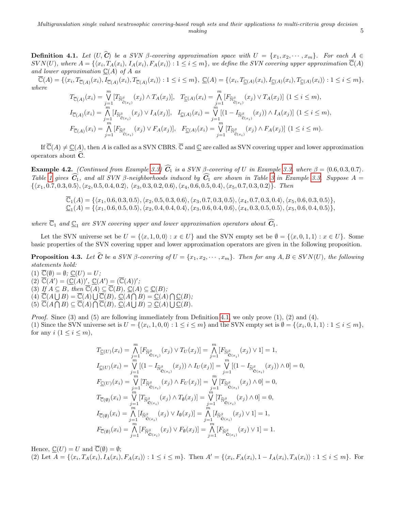**Definition 4.1.** Let  $(U, C)$  be a SVN  $\beta$ -covering approximation space with  $U = \{x_1, x_2, \dots, x_m\}$ . For each  $A \in$  $SVN(U)$ , where  $A = \{ (x_i, T_A(x_i), I_A(x_i), F_A(x_i)) : 1 \leq i \leq m \}$ , we define the SVN covering upper approximation  $\overline{\mathbb{C}}(A)$ and lower approximation  $C(A)$  of A as

 $\overline{\mathbb{C}}(A) = \{ \langle x_i, T_{\overline{\mathbb{C}}(A)}(x_i), I_{\overline{\mathbb{C}}(A)}(x_i), T_{\overline{\mathbb{C}}(A)}(x_i) \rangle : 1 \leq i \leq m \}, \underline{\mathbb{C}}(A) = \{ \langle x_i, T_{\underline{\mathbb{C}}(A)}(x_i), I_{\underline{\mathbb{C}}(A)}(x_i), T_{\underline{\mathbb{C}}(A)}(x_i) \rangle : 1 \leq i \leq m \},$ where

$$
T_{\overline{\mathbb{C}}(A)}(x_i) = \bigvee_{j=1}^m [T_{\widetilde{\mathbb{N}}^{\beta}_{\widetilde{\mathbb{C}}(x_i)}}(x_j) \wedge T_A(x_j)], \quad T_{\underline{\mathbb{C}}(A)}(x_i) = \bigwedge_{j=1}^m [F_{\widetilde{\mathbb{N}}^{\beta}_{\widetilde{\mathbb{C}}(x_i)}}(x_j) \vee T_A(x_j)] \quad (1 \leq i \leq m),
$$
  
\n
$$
I_{\overline{\mathbb{C}}(A)}(x_i) = \bigwedge_{j=1}^n [I_{\widetilde{\mathbb{N}}^{\beta}_{\widetilde{\mathbb{C}}(x_i)}}(x_j) \vee I_A(x_j)], \quad I_{\underline{\mathbb{C}}(A)}(x_i) = \bigvee_{j=1}^m [(1 - I_{\widetilde{\mathbb{N}}^{\beta}_{\widetilde{\mathbb{C}}(x_i)}}(x_j)) \wedge I_A(x_j)] \quad (1 \leq i \leq m),
$$
  
\n
$$
F_{\overline{\mathbb{C}}(A)}(x_i) = \bigwedge_{j=1}^m [F_{\widetilde{\mathbb{N}}^{\beta}_{\widetilde{\mathbb{C}}(x_i)}}(x_j) \vee F_A(x_j)], \quad F_{\underline{\mathbb{C}}(A)}(x_i) = \bigvee_{j=1}^m [T_{\widetilde{\mathbb{N}}^{\beta}_{\widetilde{\mathbb{C}}(x_i)}}(x_j) \wedge F_A(x_j)] \quad (1 \leq i \leq m).
$$

If  $\overline{\mathbb{C}}(A) \neq \mathbb{C}(A)$ , then A is called as a SVN CBRS.  $\overline{\mathbb{C}}$  and  $\mathbb{C}$  are called as SVN covering upper and lower approximation operators about  $\widehat{\mathbf{C}}$ .

Example 4.2. (Continued from Example [3.3\)](#page-2-5)  $\widehat{C}_1$  is a SVN β-covering of U in Example [3.3,](#page-2-5) where  $\beta = \langle 0.6, 0.3, 0.7 \rangle$ . Table [1](#page-2-2) gives  $\widehat{C}_1$ , and all SVN  $\beta$ -neighborhoods induced by  $\widehat{C}_1$  are shown in Table [3](#page-2-3) in Example [3.3.](#page-2-5) Suppose  $A =$  $\{\langle x_1, 0.7, 0.3, 0.5\rangle, \langle x_2, 0.5, 0.4, 0.2\rangle, \langle x_3, 0.3, 0.2, 0.6\rangle, \langle x_4, 0.6, 0.5, 0.4\rangle, \langle x_5, 0.7, 0.3, 0.2\rangle\}.$  Then

> $\overline{\mathbb{C}}_1(A) = \{\langle x_1, 0.6, 0.3, 0.5\rangle, \langle x_2, 0.5, 0.3, 0.6\rangle, \langle x_3, 0.7, 0.3, 0.5\rangle, \langle x_4, 0.7, 0.3, 0.4\rangle, \langle x_5, 0.6, 0.3, 0.5\rangle\},\$  $\mathbb{C}_1(A)=\{\langle x_1, 0.6, 0.5, 0.5\rangle, \langle x_2, 0.4, 0.4, 0.4\rangle, \langle x_3, 0.6, 0.4, 0.6\rangle, \langle x_4, 0.3, 0.5, 0.5\rangle, \langle x_5, 0.6, 0.4, 0.5\rangle\},$

where  $\overline{\mathbb{C}}_1$  and  $\underline{\mathbb{C}}_1$  are SVN covering upper and lower approximation operators about  $\widehat{C_1}$ .

Let the SVN universe set be  $U = \{(x, 1, 0, 0): x \in U\}$  and the SVN empty set be  $\emptyset = \{(x, 0, 1, 1): x \in U\}$ . Some basic properties of the SVN covering upper and lower approximation operators are given in the following proposition.

<span id="page-4-0"></span>**Proposition 4.3.** Let  $\hat{\mathbf{C}}$  be a SVN  $\beta$ -covering of  $U = \{x_1, x_2, \dots, x_m\}$ . Then for any  $A, B \in SVN(U)$ , the following statements hold:

 $(1) \ \overline{\mathbb{C}}(\emptyset) = \emptyset; \ \mathbb{C}(U) = U;$  $(2) \ \overline{\mathbb{C}}(A') = (\underline{\mathbb{C}}(A))'$ ,  $\underline{\mathbb{C}}(A') = (\overline{\mathbb{C}}(A))'$ ; (3) If  $A \subseteq B$ , then  $\overline{\mathbb{C}}(A) \subseteq \overline{\mathbb{C}}(B)$ ,  $\mathbb{C}(A) \subseteq \mathbb{C}(B)$ ;  $(4) \ \overline{\mathbb{C}}(A \bigcup B) = \overline{\mathbb{C}}(A) \bigcup \overline{\mathbb{C}}(B), \ \underline{\mathbb{C}}(A \bigcap B) = \underline{\mathbb{C}}(A) \bigcap \underline{\mathbb{C}}(B);$  $(5) \ \overline{\mathbb{C}}(A \cap B) \subseteq \overline{\mathbb{C}}(A) \cap \overline{\mathbb{C}}(B), \ \underline{\mathbb{C}}(A \cup B) \supseteq \underline{\mathbb{C}}(A) \cup \underline{\mathbb{C}}(B).$ 

Proof. Since (3) and (5) are following immediately from Definition [4.1,](#page-3-5) we only prove (1), (2) and (4). (1) Since the SVN universe set is  $U = \{ \langle x_i, 1, 0, 0 \rangle : 1 \le i \le m \}$  and the SVN empty set is  $\emptyset = \{ \langle x_i, 0, 1, 1 \rangle : 1 \le i \le m \}$ , for any  $i$   $(1 \leq i \leq m)$ ,

$$
T_{\underline{C}(U)}(x_i) = \bigwedge_{j=1}^{m} [F_{\widetilde{N}_{\widehat{C}(x_i)}}(x_j) \vee T_U(x_j)] = \bigwedge_{j=1}^{m} [F_{\widetilde{N}_{\widehat{C}(x_i)}}(x_j) \vee 1] = 1,
$$
  
\n
$$
I_{\underline{C}(U)}(x_i) = \bigvee_{j=1}^{m} [(1 - I_{\widetilde{N}_{\widehat{C}(x_i)}}(x_j)) \wedge I_U(x_j)] = \bigvee_{j=1}^{m} [(1 - I_{\widetilde{N}_{\widehat{C}(x_i)}}(x_j)) \wedge 0] = 0,
$$
  
\n
$$
F_{\underline{C}(U)}(x_i) = \bigvee_{j=1}^{m} [T_{\widetilde{N}_{\widehat{C}(x_i)}}(x_j) \wedge F_U(x_j)] = \bigvee_{j=1}^{m} [T_{\widetilde{N}_{\widehat{C}(x_i)}}(x_j) \wedge 0] = 0,
$$
  
\n
$$
T_{\overline{C}(\emptyset)}(x_i) = \bigvee_{j=1}^{m} [T_{\widetilde{N}_{\widehat{C}(x_i)}}(x_j) \wedge T_{\emptyset}(x_j)] = \bigvee_{j=1}^{m} [T_{\widetilde{N}_{\widehat{C}(x_i)}}(x_j) \wedge 0] = 0,
$$
  
\n
$$
I_{\overline{C}(\emptyset)}(x_i) = \bigwedge_{j=1}^{m} [I_{\widetilde{N}_{\widehat{C}(x_i)}}(x_j) \vee I_{\emptyset}(x_j)] = \bigwedge_{j=1}^{m} [I_{\widetilde{N}_{\widehat{C}(x_i)}}(x_j) \vee 1] = 1,
$$
  
\n
$$
F_{\overline{C}(\emptyset)}(x_i) = \bigwedge_{j=1}^{m} [F_{\widetilde{N}_{\widehat{C}(x_i)}}(x_j) \vee F_{\emptyset}(x_j)] = \bigwedge_{j=1}^{m} [F_{\widetilde{N}_{\widehat{C}(x_i)}}(x_j) \vee 1] = 1.
$$

Hence,  $\mathbb{C}(U) = U$  and  $\overline{\mathbb{C}}(\emptyset) = \emptyset$ ; (2) Let  $A = \{ (x_i, T_A(x_i), I_A(x_i), F_A(x_i)) : 1 \leq i \leq m \}.$  Then  $A' = \{ (x_i, F_A(x_i), I_A(x_i), T_A(x_i)) : 1 \leq i \leq m \}.$  For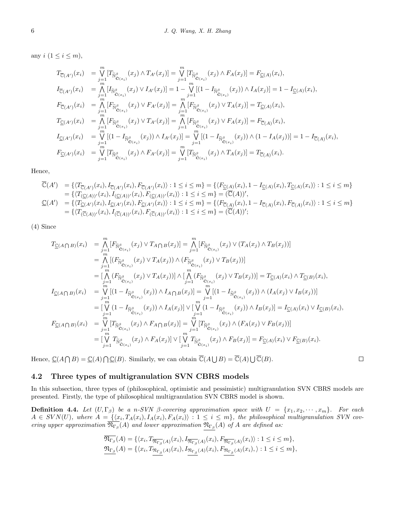any  $i$   $(1 \leq i \leq m)$ ,

$$
T_{\overline{C}(A')}(x_i) = \bigvee_{j=1}^{m} [T_{\widetilde{N}_{\widehat{C}(x_i)}}(x_j) \wedge T_{A'}(x_j)] = \bigvee_{j=1}^{m} [T_{\widetilde{N}_{\widehat{C}(x_i)}}(x_j) \wedge F_{A}(x_j)] = F_{\underline{C}(A)}(x_i),
$$
  
\n
$$
I_{\overline{C}(A')}(x_i) = \bigwedge_{j=1}^{m} [I_{\widetilde{N}_{\widehat{C}(x_i)}}(x_j) \vee I_{A'}(x_j)] = 1 - \bigvee_{j=1}^{m} [(1 - I_{\widetilde{N}_{\widehat{C}(x_i)}}(x_j)) \wedge I_{A}(x_j)] = 1 - I_{\underline{C}(A)}(x_i),
$$
  
\n
$$
F_{\overline{C}(A')}(x_i) = \bigwedge_{j=1}^{m} [F_{\widetilde{N}_{\widehat{C}(x_i)}}(x_j) \vee F_{A'}(x_j)] = \bigwedge_{j=1}^{m} [F_{\widetilde{N}_{\widehat{C}(x_i)}}(x_j) \vee T_{A}(x_j)] = T_{\underline{C}(A)}(x_i),
$$
  
\n
$$
T_{\underline{C}(A')}(x_i) = \bigwedge_{j=1}^{m} [F_{\widetilde{N}_{\widehat{C}(x_i)}}(x_j) \vee T_{A'}(x_j)] = \bigwedge_{j=1}^{m} [F_{\widetilde{N}_{\widehat{C}(x_i)}}(x_j) \vee F_{A}(x_j)] = F_{\overline{C}(A)}(x_i),
$$
  
\n
$$
I_{\underline{C}(A')}(x_i) = \bigvee_{j=1}^{m} [(1 - I_{\widetilde{N}_{\widehat{C}(x_i)}}(x_j)) \wedge I_{A'}(x_j)] = \bigvee_{j=1}^{m} [(1 - I_{\widetilde{N}_{\widehat{C}(x_i)}}(x_j)) \wedge (1 - I_{A}(x_j))] = 1 - I_{\overline{C}(A)}(x_i),
$$
  
\n
$$
F_{\underline{C}(A')}(x_i) = \bigvee_{j=1}^{m} [T_{\widetilde{N}_{\widehat{C}(x_i)}}(x_j) \wedge F_{A'}(x_j)] = \bigvee_{j=1}^{m} [T_{
$$

Hence,

$$
\overline{\mathbb{C}}(A') = \{ \langle T_{\overline{\mathbb{C}}(A')}(x_i), I_{\overline{\mathbb{C}}(A')}(x_i), F_{\overline{\mathbb{C}}(A')}(x_i) \rangle : 1 \leq i \leq m \} = \{ \langle F_{\underline{\mathbb{C}}(A)}(x_i), 1 - I_{\underline{\mathbb{C}}(A)}(x_i), T_{\underline{\mathbb{C}}(A)}(x_i) \rangle : 1 \leq i \leq m \} \n= \{ \langle T_{(\underline{\mathbb{C}}(A))'}(x_i), I_{(\underline{\mathbb{C}}(A))'}(x_i), F_{(\underline{\mathbb{C}}(A))'}(x_i) \rangle : 1 \leq i \leq m \} = (\overline{\mathbb{C}}(A))', \n\underline{\mathbb{C}}(A') = \{ \langle T_{\underline{\mathbb{C}}(A')}(x_i), I_{\underline{\mathbb{C}}(A')}(x_i), F_{\overline{\mathbb{C}}(A')}(x_i) \rangle : 1 \leq i \leq m \} = \{ \langle F_{\overline{\mathbb{C}}(A)}(x_i), 1 - I_{\overline{\mathbb{C}}(A)}(x_i), F_{\overline{\mathbb{C}}(A)}(x_i) \rangle : 1 \leq i \leq m \} \n= \{ \langle T_{(\overline{\mathbb{C}}(A))'}(x_i), I_{(\overline{\mathbb{C}}(A))'}(x_i), F_{(\overline{\mathbb{C}}(A))'}(x_i) \rangle : 1 \leq i \leq m \} = (\overline{\mathbb{C}}(A))';
$$

(4) Since

$$
T_{\underline{C}(A\bigcap B)}(x_i) = \bigwedge_{j=1}^{m} [F_{\widetilde{N}_{\underline{C}(x_i)}}(x_j) \vee T_{A\bigcap B}(x_j)] = \bigwedge_{j=1}^{m} [F_{\widetilde{N}_{\underline{C}(x_i)}}(x_j) \vee (T_A(x_j) \wedge T_B(x_j))]
$$
  
\n
$$
= \bigwedge_{j=1}^{m} [(F_{\widetilde{N}_{\underline{C}(x_i)}}(x_j) \vee T_A(x_j)) \wedge (F_{\widetilde{N}_{\underline{C}(x_i)}}(x_j) \vee T_B(x_j))]
$$
  
\n
$$
= [\bigwedge_{j=1}^{m} (F_{\widetilde{N}_{\underline{C}(x_i)}}(x_j) \vee T_A(x_j))] \wedge [\bigwedge_{j=1}^{m} (F_{\widetilde{N}_{\underline{C}(x_i)}}(x_j) \vee T_B(x_j))] = T_{\underline{C}(A)}(x_i) \wedge T_{\underline{C}(B)}(x_i),
$$
  
\n
$$
I_{\underline{C}(A\bigcap B)}(x_i) = \bigvee_{j=1}^{m} [(1 - I_{\widetilde{N}_{\underline{C}(x_i)}}(x_j)) \wedge I_A \cap B(x_j)] = \bigvee_{j=1}^{m} [(1 - I_{\widetilde{N}_{\underline{C}(x_i)}}(x_j)) \wedge (I_A(x_j) \vee I_B(x_j))]
$$
  
\n
$$
= [\bigvee_{j=1}^{m} (1 - I_{\widetilde{N}_{\underline{C}(x_i)}}(x_j)) \wedge I_A(x_j)] \vee [\bigvee_{j=1}^{m} (1 - I_{\widetilde{N}_{\underline{C}(x_i)}}(x_j)) \wedge I_B(x_j)] = I_{\underline{C}(A)}(x_i) \vee I_{\underline{C}(B)}(x_i),
$$
  
\n
$$
F_{\underline{C}(A\bigcap B)}(x_i) = \bigvee_{j=1}^{m} [T_{\widetilde{N}_{\underline{C}(x_i)}}(x_j) \wedge F_A \cap B(x_j)] = \bigvee_{j=1}^{m} [T_{\widetilde{N}_{\underline{C}(x_i)}}(x_j) \wedge (F_A(x_j) \vee F_B(x_j))]]
$$
  
\n
$$
= [\bigvee_{j=1}^{m} T_{\widet
$$

Hence,  $\underline{\mathbb{C}}(A \cap B) = \underline{\mathbb{C}}(A) \cap \underline{\mathbb{C}}(B)$ . Similarly, we can obtain  $\overline{\mathbb{C}}(A \cup B) = \overline{\mathbb{C}}(A) \cup \overline{\mathbb{C}}(B)$ .

#### 4.2 Three types of multigranulation SVN CBRS models

In this subsection, three types of (philosophical, optimistic and pessimistic) multigranulation SVN CBRS models are presented. Firstly, the type of philosophical multigranulation SVN CBRS model is shown.

 $\Box$ 

<span id="page-5-0"></span>**Definition 4.4.** Let  $(U, \Gamma_{\beta})$  be a n-SVN  $\beta$ -covering approximation space with  $U = \{x_1, x_2, \dots, x_m\}$ . For each  $A \in SVM(U)$ , where  $A = \{ \langle x_i, T_A(x_i), I_A(x_i), F_A(x_i) \rangle : 1 \leq i \leq m \}$ , the philosophical multigranulation SVN covering upper approximation  $\mathfrak{N}_{\Gamma_{\beta}}(A)$  and lower approximation  $\mathfrak{N}_{\Gamma_{\beta}}(A)$  of A are defined as:

$$
\overline{\mathfrak{N}_{\Gamma_{\beta}}}(A) = \{ \langle x_i, T_{\overline{\mathfrak{N}_{\Gamma_{\beta}}}}(A)(x_i), I_{\overline{\mathfrak{N}_{\Gamma_{\beta}}}}(A)(x_i), F_{\overline{\mathfrak{N}_{\Gamma_{\beta}}}}(A)(x_i) \rangle : 1 \leq i \leq m \}, \n\underline{\mathfrak{N}_{\Gamma_{\beta}}}(A) = \{ \langle x_i, T_{\mathfrak{N}_{\Gamma_{\beta}}}(A)(x_i), I_{\mathfrak{N}_{\Gamma_{\beta}}}(A)(x_i), F_{\mathfrak{N}_{\Gamma_{\beta}}}(A)(x_i), \rangle : 1 \leq i \leq m \},
$$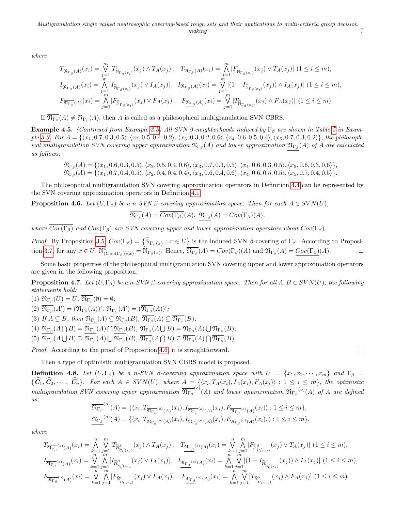where

$$
T_{\overline{\mathfrak{N}_{\Gamma_{\beta}}}(A)}(x_{i}) = \bigvee_{j=1}^{m} [T_{\widetilde{\mathbb{N}}_{\Gamma_{\beta}(x_{i})}}(x_{j}) \wedge T_{A}(x_{j})], \quad T_{\overline{\mathfrak{N}_{\Gamma_{\beta}}}(A)}(x_{i}) = \bigwedge_{j=1}^{m} [F_{\widetilde{\mathbb{N}}_{\Gamma_{\beta}(x_{i})}}(x_{j}) \vee T_{A}(x_{j})] \quad (1 \leq i \leq m),
$$
  
\n
$$
I_{\overline{\mathfrak{N}_{\Gamma_{\beta}}}(A)}(x_{i}) = \bigwedge_{j=1}^{n} [I_{\widetilde{\mathbb{N}}_{\Gamma_{\beta}(x_{i})}}(x_{j}) \vee I_{A}(x_{j})], \quad I_{\overline{\mathfrak{N}_{\Gamma_{\beta}}}(A)}(x_{i}) = \bigvee_{j=1}^{m} [(1 - I_{\widetilde{\mathbb{N}}_{\Gamma_{\beta}(x_{i})}}(x_{j})) \wedge I_{A}(x_{j})] \quad (1 \leq i \leq m),
$$
  
\n
$$
F_{\overline{\mathfrak{N}_{\Gamma_{\beta}}}(A)}(x_{i}) = \bigwedge_{j=1}^{m} [F_{\widetilde{\mathbb{N}}_{\Gamma_{\beta}(x_{i})}}(x_{j}) \vee F_{A}(x_{j})], \quad F_{\overline{\mathfrak{N}_{\Gamma_{\beta}}}(A)}(x_{i}) = \bigvee_{j=1}^{m} [T_{\widetilde{\mathbb{N}}_{\Gamma_{\beta}(x_{i})}}(x_{j}) \wedge F_{A}(x_{j})] \quad (1 \leq i \leq m).
$$

If  $\mathfrak{N}_{\Gamma_{\beta}}(A) \neq \mathfrak{N}_{\Gamma_{\beta}}(A)$ , then A is called as a philosophical multigranulation SVN CBRS.

Example 4.5. (Continued from Example [3.3\)](#page-2-5) All SVN β-neighborhoods induced by  $\Gamma_\beta$  are shown in Table [5](#page-3-1) in Exam-ple [3.3.](#page-2-5) For  $A = \{ \langle x_1, 0.7, 0.3, 0.5 \rangle, \langle x_2, 0.5, 0.4, 0.2 \rangle, \langle x_3, 0.3, 0.2, 0.6 \rangle, \langle x_4, 0.6, 0.5, 0.4 \rangle, \langle x_5, 0.7, 0.3, 0.2 \rangle \}$ , the philosophical multigranulation SVN covering upper approximation  $\mathfrak{N}_{\Gamma_\beta}(A)$  and lower approximation  $\mathfrak{N}_{\Gamma_\beta}(A)$  of  $A$  are calculated as follows:

$$
\overline{\mathfrak{N}_{\Gamma_{\beta}}}(A) = \{ \langle x_1, 0.6, 0.3, 0.5 \rangle, \langle x_2, 0.5, 0.4, 0.6 \rangle, \langle x_3, 0.7, 0.3, 0.5 \rangle, \langle x_4, 0.6, 0.3, 0.5 \rangle, \langle x_5, 0.6, 0.3, 0.6 \rangle \},
$$
\n
$$
\mathfrak{N}_{\Gamma_{\beta}}(A) = \{ \langle x_1, 0.7, 0.4, 0.5 \rangle, \langle x_2, 0.4, 0.4, 0.4 \rangle, \langle x_3, 0.6, 0.4, 0.6 \rangle, \langle x_4, 0.6, 0.5, 0.5 \rangle, \langle x_5, 0.7, 0.4, 0.5 \rangle \}.
$$

The philosophical multigranulation SVN covering approximation operators in Definition [4.4](#page-5-0) can be represented by the SVN covering approximation operators in Definition [4.1.](#page-3-5)

<span id="page-6-0"></span>**Proposition 4.6.** Let  $(U, \Gamma_{\beta})$  be a n-SVN  $\beta$ -covering approximation space. Then for each  $A \in SVM(U)$ ,

$$
\overline{\mathfrak{N}_{\Gamma_{\beta}}}(A)=\overline{Cov(\Gamma_{\beta})}(A), \ \ \mathfrak{N}_{\Gamma_{\beta}}(A)=\underline{Cov(\Gamma_{\beta})}(A),
$$

where  $\overline{Cov(\Gamma_\beta)}$  and  $Cov(\Gamma_\beta)$  are SVN covering upper and lower approximation operators about  $Cov(\Gamma_\beta)$ .

Proof. By Proposition [3.5,](#page-3-2)  $Cov(\Gamma_{\beta}) = {\widetilde{N}_{\Gamma_{\beta}(x)} : x \in U}$  is the induced SVN β-covering of  $\Gamma_{\beta}$ . According to Proposi-tion [3.7,](#page-3-3) for any  $x \in U$ ,  $\widetilde{\mathbb{N}}_{(Cov(\Gamma_{\beta}))}(x) = \widetilde{\mathbb{N}}_{\Gamma_{\beta}(x)}$ . Hence,  $\overline{\mathbb{N}_{\Gamma_{\beta}}}(A) = \overline{Cov(\Gamma_{\beta})}(A)$  and  $\underline{\mathfrak{N}_{\Gamma_{\beta}}}(A) = \underline{Cov(\Gamma_{\beta})}(A)$ .  $\Box$ 

Some basic properties of the philosophical multigranulation SVN covering upper and lower approximation operators are given in the following proposition.

**Proposition 4.7.** Let  $(U, \Gamma_{\beta})$  be a n-SVN  $\beta$ -covering approximation space. Then for all  $A, B \in SVN(U)$ , the following statements hold:

(1)  $\mathfrak{N}_{\Gamma_{\beta}}(U) = U, \, \mathfrak{N}_{\Gamma_{\beta}}(\emptyset) = \emptyset;$ (2)  $\overline{\mathfrak{N}_{\Gamma_{\beta}}}(A') = (\mathfrak{N}_{\Gamma_{\beta}}(A))', \ \mathfrak{N}_{\Gamma_{\beta}}(A') = (\overline{\mathfrak{N}_{\Gamma_{\beta}}}(A))';$ (3) If  $A \subseteq B$ , then  $\mathfrak{N}_{\Gamma_{\beta}}(A) \subseteq \mathfrak{N}_{\Gamma_{\beta}}(B)$ ,  $\mathfrak{N}_{\Gamma_{\beta}}(A) \subseteq \mathfrak{N}_{\Gamma_{\beta}}(B)$ ;  $(4) \ \mathfrak{N}_{\Gamma_{\beta}}(A \cap B) = \mathfrak{N}_{\Gamma_{\beta}}(A) \cap \mathfrak{N}_{\Gamma_{\beta}}(B),\ \overline{\mathfrak{N}_{\Gamma_{\beta}}}(A \cup B) = \overline{\mathfrak{N}_{\Gamma_{\beta}}}(A) \cup \overline{\mathfrak{N}_{\Gamma_{\beta}}}(B);$ (5)  $\mathfrak{N}_{\Gamma_{\beta}}(A\bigcup B) \supseteq \mathfrak{N}_{\Gamma_{\beta}}(A)\bigcup \mathfrak{N}_{\Gamma_{\beta}}(B), \overline{\mathfrak{N}_{\Gamma_{\beta}}}(A\bigcap B) \subseteq \overline{\mathfrak{N}_{\Gamma_{\beta}}}(A)\bigcap \overline{\mathfrak{N}_{\Gamma_{\beta}}}(B).$ 

Proof. According to the proof of Proposition [4.6,](#page-6-0) it is straightforward.

Then a type of optimistic multigranulation SVN CBRS model is proposed.

<span id="page-6-1"></span>**Definition 4.8.** Let  $(U, \Gamma_{\beta})$  be a n-SVN  $\beta$ -covering approximation space with  $U = \{x_1, x_2, \dots, x_m\}$  and  $\Gamma_{\beta}$  ${C_1, C_2, \cdots, C_n}$ . For each  $A \in SVM(U)$ , where  $A = \{ \langle x_i, T_A(x_i), I_A(x_i), F_A(x_i) \rangle : 1 \leq i \leq m \}$ , the optimistic multigranulation SVN covering upper approximation  $\overline{\mathfrak{N}_{\Gamma_\beta}}^{(o)}(A)$  and lower approximation  $\mathfrak{N}_{\Gamma_\beta}^{(o)}(A)$  of A are defined as: (o)

$$
\mathfrak{N}_{\Gamma_{\beta}}^{(o)}(A) = \{ \langle x_i, T_{\overline{\mathfrak{N}_{\Gamma_{\beta}}}^{(o)}(A)}(x_i), I_{\overline{\mathfrak{N}_{\Gamma_{\beta}}}^{(o)}(A)}(x_i), F_{\overline{\mathfrak{N}_{\Gamma_{\beta}}}^{(o)}(A)}(x_i) \rangle : 1 \leq i \leq m \},
$$
  

$$
\mathfrak{N}_{\Gamma_{\beta}}^{(o)}(A) = \{ \langle x_i, T_{\overline{\mathfrak{N}_{\Gamma_{\beta}}}^{(o)}(A)}(x_i), I_{\overline{\mathfrak{N}_{\Gamma_{\beta}}}^{(o)}(A)}(x_i), F_{\overline{\mathfrak{N}_{\Gamma_{\beta}}}^{(o)}(A)}(x_i), \rangle : 1 \leq i \leq m \},
$$

where

$$
T_{\overline{\mathfrak{N}_{\Gamma_{\beta}}}^{(\circ)}(A)}(x_{i}) = \bigwedge_{k=1}^{n} \bigvee_{j=1}^{m} [T_{\widetilde{\mathbb{N}}_{\widehat{C}_{k}}^{(\circ)}}(x_{j}) \wedge T_{A}(x_{j})], \quad T_{\overline{\mathfrak{N}_{\Gamma_{\beta}}}^{(\circ)}(A)}(x_{i}) = \bigvee_{k=1}^{n} \bigwedge_{j=1}^{m} [F_{\widetilde{\mathbb{N}}_{\widehat{C}_{k}}^{(\circ)}}(x_{j}) \vee T_{A}(x_{j})] \ (1 \leq i \leq m),
$$
  
\n
$$
I_{\overline{\mathfrak{N}_{\Gamma_{\beta}}}^{(\circ)}(A)}(x_{i}) = \bigvee_{k=1}^{n} \bigwedge_{j=1}^{m} [I_{\widetilde{\mathbb{N}}_{\widehat{C}_{k}}^{(\circ)}}(x_{j}) \vee I_{A}(x_{j})], \quad I_{\overline{\mathfrak{N}_{\Gamma_{\beta}}}^{(\circ)}(A)}(x_{i}) = \bigwedge_{k=1}^{n} \bigvee_{j=1}^{m} \big[ (1 - I_{\widetilde{\mathbb{N}}_{\widehat{C}_{k}}^{(\circ)}}(x_{j})) \wedge I_{A}(x_{j}) \big] \ (1 \leq i \leq m),
$$
  
\n
$$
F_{\overline{\mathfrak{N}_{\Gamma_{\beta}}}^{(\circ)}(A)}(x_{i}) = \bigvee_{k=1}^{n} \bigwedge_{j=1}^{m} [F_{\widetilde{\mathbb{N}}_{\widehat{C}_{k}}^{(\circ)}}(x_{j}) \vee F_{A}(x_{j})], \quad F_{\overline{\mathfrak{N}_{\Gamma_{\beta}}}^{(\circ)}(A)}(x_{i}) = \bigwedge_{k=1}^{n} \bigvee_{j=1}^{m} [T_{\widetilde{\mathbb{N}}_{\widehat{C}_{k}}^{(\circ)}}(x_{j}) \wedge F_{A}(x_{j})] \ (1 \leq i \leq m).
$$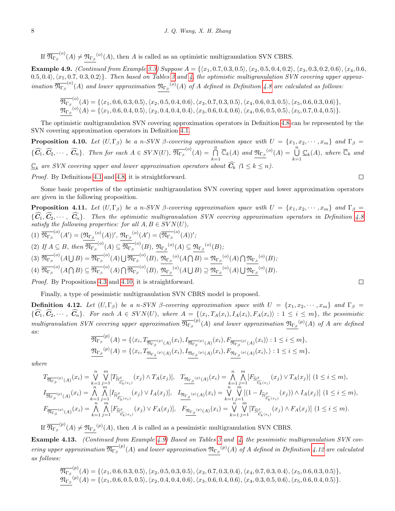If  $\overline{\mathfrak{N}_{\Gamma_{\beta}}}^{(o)}(A) \neq \mathfrak{N}_{\Gamma_{\beta}}^{(o)}(A)$ , then A is called as an optimistic multigranulation SVN CBRS.

<span id="page-7-1"></span>Example 4.9. (Continued from Example [3.3\)](#page-2-5) Suppose  $A = \{\langle x_1, 0.7, 0.3, 0.5 \rangle, \langle x_2, 0.5, 0.4, 0.2 \rangle, \langle x_3, 0.3, 0.2, 0.6 \rangle, \langle x_4, 0.6, 0.4 \rangle\}$  $(0.5, 0.4), \langle x_5, 0.7, 0.3, 0.2 \rangle\}$ . Then based on Tables [3](#page-2-3) and [4,](#page-2-3) the optimistic multigranulation SVN covering upper approximation  $\overline{\mathfrak{N}_{\Gamma_{\beta}}}^{(o)}(A)$  and lower approximation  $\mathfrak{N}_{\Gamma_{\beta}}^{(o)}(A)$  of A defined in Definition [4.8](#page-6-1) are calculated as follows:

$$
\overline{\mathfrak{N}_{\Gamma_{\beta}}}^{(o)}(A) = \{ \langle x_1, 0.6, 0.3, 0.5 \rangle, \langle x_2, 0.5, 0.4, 0.6 \rangle, \langle x_3, 0.7, 0.3, 0.5 \rangle, \langle x_4, 0.6, 0.3, 0.5 \rangle, \langle x_5, 0.6, 0.3, 0.6 \rangle \},
$$
\n
$$
\overline{\mathfrak{N}_{\Gamma_{\beta}}}^{(o)}(A) = \{ \langle x_1, 0.6, 0.4, 0.5 \rangle, \langle x_2, 0.4, 0.4, 0.4 \rangle, \langle x_3, 0.6, 0.4, 0.6 \rangle, \langle x_4, 0.6, 0.5, 0.5 \rangle, \langle x_5, 0.7, 0.4, 0.5 \rangle \}.
$$

The optimistic multigranulation SVN covering approximation operators in Definition [4.8](#page-6-1) can be represented by the SVN covering approximation operators in Definition [4.1.](#page-3-5)

<span id="page-7-0"></span>**Proposition 4.10.** Let  $(U, \Gamma_{\beta})$  be a n-SVN  $\beta$ -covering approximation space with  $U = \{x_1, x_2, \dots, x_m\}$  and  $\Gamma_{\beta} =$  $\{\widehat{C}_1, \widehat{C}_2, \cdots, \widehat{C}_n\}$ . Then for each  $A \in SVN(U)$ ,  $\overline{\mathfrak{N}_{\Gamma_\beta}}^{(o)}(A) = \bigcap_{k=1}^n$  $\bigcap_{k=1}^{n} \overline{\mathbb{C}}_k(A)$  and  $\underline{\mathfrak{N}_{\Gamma_{\beta}}}^{(o)}(A) = \bigcup_{k=1}^{n}$  $\bigcup_{k=1}^{\infty} \underline{\mathbb{C}}_k(A)$ , where  $\overline{\mathbb{C}}_k$  and  $\underline{\mathbb{C}}_k$  are SVN covering upper and lower approximation operators about  $\widehat{\bm{C}}_k$   $(1 \leq k \leq n)$ .

Proof. By Definitions [4.1](#page-3-5) and [4.8,](#page-6-1) it is straightforward.

Some basic properties of the optimistic multigranulation SVN covering upper and lower approximation operators are given in the following proposition.

**Proposition 4.11.** Let  $(U, \Gamma_{\beta})$  be a n-SVN  $\beta$ -covering approximation space with  $U = \{x_1, x_2, \dots, x_m\}$  and  $\Gamma_{\beta}$  $\{C_1, C_2, \cdots, C_n\}$ . Then the optimistic multigranulation SVN covering approximation operators in Definition [4.8](#page-6-1) satisfy the following properties: for all  $A, B \in SVN(U)$ ,

$$
(1) \overline{\mathfrak{N}_{\Gamma_{\beta}}}^{(o)}(A') = (\underline{\mathfrak{N}_{\Gamma_{\beta}}}^{(o)}(A))', \underline{\mathfrak{N}_{\Gamma_{\beta}}}^{(o)}(A') = (\overline{\mathfrak{N}_{\Gamma_{\beta}}}^{(o)}(A))';(2) If  $A \subseteq B$ , then  $\overline{\mathfrak{N}_{\Gamma_{\beta}}}^{(o)}(A) \subseteq \overline{\mathfrak{N}_{\Gamma_{\beta}}}^{(o)}(B), \underline{\mathfrak{N}_{\Gamma_{\beta}}}^{(o)}(A) \subseteq \underline{\mathfrak{N}_{\Gamma_{\beta}}}^{(o)}(B);(3)  $\overline{\mathfrak{N}_{\Gamma_{\beta}}}^{(o)}(A \cup B) = \overline{\mathfrak{N}_{\Gamma_{\beta}}}^{(o)}(A) \cup \overline{\mathfrak{N}_{\Gamma_{\beta}}}^{(o)}(B), \underline{\mathfrak{N}_{\Gamma_{\beta}}}^{(o)}(A \cap B) = \underline{\mathfrak{N}_{\Gamma_{\beta}}}^{(o)}(A) \cap \overline{\mathfrak{N}_{\Gamma_{\beta}}}^{(o)}(B);(4)  $\overline{\mathfrak{N}_{\Gamma_{\beta}}}^{(o)}(A \cap B) \subseteq \overline{\mathfrak{N}_{\Gamma_{\beta}}}^{(o)}(A) \cap \overline{\mathfrak{N}_{\Gamma_{\beta}}}^{(o)}(B), \underline{\mathfrak{N}_{\Gamma_{\beta}}}^{(o)}(A \cup B) \supseteq \overline{\mathfrak{N}_{\Gamma_{\beta}}}^{(o)}(A) \cup \overline{\mathfrak{N}_{\Gamma_{\beta}}}^{(o)}(B).$$$
$$

Proof. By Propositions [4.3](#page-4-0) and [4.10,](#page-7-0) it is straightforward.

Finally, a type of pessimistic multigranulation SVN CBRS model is proposed.

<span id="page-7-2"></span>**Definition 4.12.** Let  $(U, \Gamma_{\beta})$  be a n-SVN  $\beta$ -covering approximation space with  $U = \{x_1, x_2, \dots, x_m\}$  and  $\Gamma_{\beta}$  ${C_1, C_2, \cdots, C_n}$ . For each  $A \in SVN(U)$ , where  $A = \{(\mathcal{X}_i, T_A(x_i), I_A(x_i), F_A(x_i)) : 1 \leq i \leq m\}$ , the pessimistic multigranulation SVN covering upper approximation  $\overline{\mathfrak{N}_{\Gamma_\beta}}^{(p)}(A)$  and lower approximation  $\mathfrak{N}_{\Gamma_\beta}^{(p)}(A)$  of A are defined as:

$$
\overline{\mathfrak{N}_{\Gamma_{\beta}}}^{(p)}(A) = \{ \langle x_i, T_{\overline{\mathfrak{N}_{\Gamma_{\beta}}}^{(p)}(A)}(x_i), I_{\overline{\mathfrak{N}_{\Gamma_{\beta}}}^{(p)}(A)}(x_i), F_{\overline{\mathfrak{N}_{\Gamma_{\beta}}}^{(p)}(A)}(x_i) \rangle : 1 \leq i \leq m \},\
$$
  

$$
\underline{\mathfrak{N}_{\Gamma_{\beta}}}^{(p)}(A) = \{ \langle x_i, T_{\underline{\mathfrak{N}_{\Gamma_{\beta}}}^{(p)}(A)}(x_i), I_{\overline{\mathfrak{N}_{\Gamma_{\beta}}}^{(p)}(A)}(x_i), F_{\overline{\mathfrak{N}_{\Gamma_{\beta}}}^{(p)}(A)}(x_i), \rangle : 1 \leq i \leq m \},
$$

where

$$
T_{\overline{\mathfrak{N}_{\Gamma_{\beta}}}(p)}(A)}(x_i) = \bigvee_{k=1}^{n} \bigvee_{j=1}^{m} [T_{\widetilde{\mathbb{N}}_{\widehat{\mathcal{C}}_k}(x_j)}(x_j) \wedge T_A(x_j)], \quad T_{\overline{\mathfrak{N}}_{\Gamma_{\beta}}(p)}(A)}(x_i) = \bigwedge_{k=1}^{n} \bigwedge_{j=1}^{m} [F_{\widetilde{\mathbb{N}}_{\widehat{\mathcal{C}}_k}(x_j)}(x_j) \vee T_A(x_j)] \quad (1 \leq i \leq m),
$$
  
\n
$$
I_{\overline{\mathfrak{N}_{\Gamma_{\beta}}}(p)}(A)}(x_i) = \bigwedge_{k=1}^{n} \bigwedge_{j=1}^{m} [I_{\widetilde{\mathbb{N}}_{\widehat{\mathcal{C}}_k}(x_j)}(x_j) \vee I_A(x_j)], \quad I_{\overline{\mathfrak{N}}_{\Gamma_{\beta}}(p)}(A)}(x_i) = \bigvee_{k=1}^{n} \bigvee_{j=1}^{m} [I_{\widetilde{\mathbb{N}}_{\widehat{\mathcal{C}}_k}(x_j)}(x_j) \wedge I_A(x_j)] \quad (1 \leq i \leq m),
$$
  
\n
$$
F_{\overline{\mathfrak{N}}_{\Gamma_{\beta}}(p)}(A)}(x_i) = \bigwedge_{k=1}^{n} \bigwedge_{j=1}^{m} [F_{\widetilde{\mathbb{N}}_{\widehat{\mathcal{C}}_k}(x_j)}(x_j) \vee F_A(x_j)], \quad F_{\overline{\mathfrak{N}}_{\Gamma_{\beta}}(p)}(A)}(x_i) = \bigvee_{k=1}^{n} \bigvee_{j=1}^{m} [T_{\widetilde{\mathbb{N}}_{\widehat{\mathcal{C}}_k}(x_j)}(x_j) \wedge F_A(x_j)] \quad (1 \leq i \leq m).
$$

If  $\overline{\mathfrak{N}_{\Gamma_{\beta}}}^{(p)}(A) \neq \mathfrak{N}_{\Gamma_{\beta}}^{(p)}(A)$ , then A is called as a pessimistic multigranulation SVN CBRS.

Example 4.13. (Continued from Example [4.9\)](#page-7-1) Based on Tables [3](#page-2-3) and [4,](#page-2-3) the pessimistic multigranulation SVN covering upper approximation  $\overline{\mathfrak{N}_{\Gamma_\beta}}^{(p)}(A)$  and lower approximation  $\mathfrak{N}_{\Gamma_\beta}^{(p)}(A)$  of A defined in Definition [4.12](#page-7-2) are calculated as follows:

$$
\overline{\mathfrak{N}_{\Gamma_{\beta}}}^{(p)}(A) = \{ \langle x_1, 0.6, 0.3, 0.5 \rangle, \langle x_2, 0.5, 0.3, 0.5 \rangle, \langle x_3, 0.7, 0.3, 0.4 \rangle, \langle x_4, 0.7, 0.3, 0.4 \rangle, \langle x_5, 0.6, 0.3, 0.5 \rangle \},
$$
\n
$$
\mathfrak{N}_{\Gamma_{\beta}}^{(p)}(A) = \{ \langle x_1, 0.6, 0.5, 0.5 \rangle, \langle x_2, 0.4, 0.4, 0.6 \rangle, \langle x_3, 0.6, 0.4, 0.6 \rangle, \langle x_4, 0.3, 0.5, 0.6 \rangle, \langle x_5, 0.6, 0.4, 0.5 \rangle \}.
$$

 $\Box$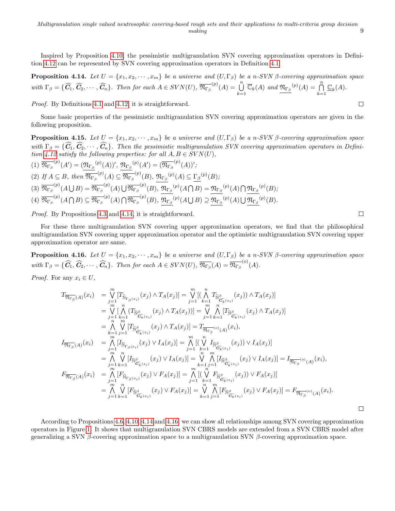Inspired by Proposition [4.10,](#page-7-0) the pessimistic multigranulation SVN covering approximation operators in Definition [4.12](#page-7-2) can be represented by SVN covering approximation operators in Definition [4.1.](#page-3-5)

<span id="page-8-0"></span>**Proposition 4.14.** Let  $U = \{x_1, x_2, \dots, x_m\}$  be a universe and  $(U, \Gamma_\beta)$  be a n-SVN  $\beta$ -covering approximation space with  $\Gamma_{\beta} = \{\widehat{C}_1, \widehat{C}_2, \cdots, \widehat{C}_n\}$ . Then for each  $A \in SVM(U)$ ,  $\overline{\mathfrak{N}_{\Gamma_{\beta}}}^{(p)}(A) = \bigcup_{k=1}^n$  $\bigcup_{k=1}^{n} \overline{\mathbb{C}}_k(A)$  and  $\underline{\mathfrak{N}_{\Gamma_{\beta}}}^{(p)}(A) = \bigcap_{k=1}^{n}$  $\bigcap_{k=1}^{\infty} \underline{\mathbb{C}}_k(A).$ 

Proof. By Definitions [4.1](#page-3-5) and [4.12,](#page-7-2) it is straightforward.

Some basic properties of the pessimistic multigranulation SVN covering approximation operators are given in the following proposition.

**Proposition 4.15.** Let  $U = \{x_1, x_2, \dots, x_m\}$  be a universe and  $(U, \Gamma_\beta)$  be a n-SVN  $\beta$ -covering approximation space with  $\Gamma_{\beta} = \{\widehat{C}_1, \widehat{C}_2, \cdots, \widehat{C}_n\}$ . Then the pessimistic multigranulation SVN covering approximation operators in Defini-tion [4.12](#page-7-2) satisfy the following properties: for all  $A, B \in SVN(U)$ ,

$$
(1) \overline{\mathfrak{N}_{\Gamma_{\beta}}}^{(p)}(A') = (\mathfrak{N}_{\Gamma_{\beta}}^{(p)}(A))', \underline{\mathfrak{N}_{\Gamma_{\beta}}}^{(p)}(A') = (\overline{\mathfrak{N}_{\Gamma_{\beta}}}^{(p)}(A))';
$$
\n
$$
(2) If A \subseteq B, then \overline{\mathfrak{N}_{\Gamma_{\beta}}}^{(p)}(A) \subseteq \overline{\mathfrak{N}_{\Gamma_{\beta}}}^{(p)}(B), \underline{\mathfrak{N}_{\Gamma_{\beta}}}^{(p)}(A) \subseteq \underline{\Gamma_{\beta}}^{(p)}(B);
$$
\n
$$
(3) \overline{\mathfrak{N}_{\Gamma_{\beta}}}^{(p)}(A \bigcup B) = \overline{\mathfrak{N}_{\Gamma_{\beta}}}^{(p)}(A) \bigcup \overline{\mathfrak{N}_{\Gamma_{\beta}}}^{(p)}(B), \underline{\mathfrak{N}_{\Gamma_{\beta}}}^{(p)}(B) = \mathfrak{N}_{\Gamma_{\beta}}^{(p)}(A) \bigcap \overline{\mathfrak{N}_{\Gamma_{\beta}}}^{(p)}(B);
$$
\n
$$
(4) \overline{\mathfrak{N}_{\Gamma_{\beta}}}^{(p)}(A \bigcap B) \subseteq \overline{\mathfrak{N}_{\Gamma_{\beta}}}^{(p)}(A) \bigcap \overline{\mathfrak{N}_{\Gamma_{\beta}}}^{(p)}(B), \underline{\mathfrak{N}_{\Gamma_{\beta}}}^{(p)}(A \bigcup B) \supseteq \overline{\mathfrak{N}_{\Gamma_{\beta}}}^{(p)}(A) \bigcup \overline{\mathfrak{N}_{\Gamma_{\beta}}}^{(p)}(B).
$$

Proof. By Propositions [4.3](#page-4-0) and [4.14,](#page-8-0) it is straightforward.

For these three multigranulation SVN covering upper approximation operators, we find that the philosophical multigranulation SVN covering upper approximation operator and the optimistic multigranulation SVN covering upper approximation operator are same.

<span id="page-8-1"></span>**Proposition 4.16.** Let  $U = \{x_1, x_2, \dots, x_m\}$  be a universe and  $(U, \Gamma_\beta)$  be a n-SVN  $\beta$ -covering approximation space with  $\Gamma_{\beta} = \{\widehat{C}_1, \widehat{C}_2, \cdots, \widehat{C}_n\}$ . Then for each  $A \in SVN(U)$ ,  $\overline{\mathfrak{N}_{\Gamma_{\beta}}}(A) = \overline{\mathfrak{N}_{\Gamma_{\beta}}}^{(o)}(A)$ .

*Proof.* For any  $x_i \in U$ ,

$$
T_{\overline{\mathfrak{N}_{\Gamma_{\beta}}}(A)}(x_{i}) = \bigvee_{j=1}^{m} [T_{\widetilde{\mathbb{N}}_{\Gamma_{\beta}(x_{i})}}(x_{j}) \wedge T_{A}(x_{j})] = \bigvee_{j=1}^{m} [(\bigwedge_{k=1}^{n} T_{\widetilde{\mathbb{N}}_{\widetilde{G}_{k}(x_{i})}}(x_{j}) \wedge T_{A}(x_{j})] = \bigvee_{j=1}^{m} [\bigwedge_{k=1}^{n} (T_{\widetilde{\mathbb{N}}_{\widetilde{G}_{k}(x_{i})}}(x_{j}) \wedge T_{A}(x_{j})]] = \bigvee_{j=1}^{m} \bigwedge_{k=1}^{n} [T_{\widetilde{\mathbb{N}}_{\widetilde{G}_{k}(x_{i})}}(x_{j}) \wedge T_{A}(x_{j})] = \bigwedge_{k=1}^{n} \bigvee_{j=1}^{m} [T_{\widetilde{\mathbb{N}}_{\widetilde{G}_{k}(x_{i})}}(x_{j}) \wedge T_{A}(x_{j})] = T_{\overline{\mathfrak{N}_{\Gamma_{\beta}}}(o)}(A)(x_{i}),
$$
  
\n
$$
I_{\overline{\mathfrak{N}_{\Gamma_{\beta}}}(A)}(x_{i}) = \bigwedge_{j=1}^{n} [I_{\widetilde{\mathbb{N}}_{\widetilde{F}_{\beta}(x_{i})}}(x_{j}) \vee I_{A}(x_{j})] = \bigwedge_{j=1}^{m} [(\bigvee_{k=1}^{n} I_{\widetilde{\mathbb{N}}_{\widetilde{G}_{k}(x_{i})}}(x_{j}) \vee I_{A}(x_{j})]] = \bigwedge_{j=1}^{n} [I_{\widetilde{\mathbb{N}}_{\widetilde{F}_{\beta}(x_{i})}}(x_{j}) \vee I_{A}(x_{j})] = \bigvee_{k=1}^{n} \bigwedge_{j=1}^{n} [I_{\widetilde{\mathbb{N}}_{\widetilde{G}_{k}(x_{i})}}(x_{j}) \vee I_{A}(x_{j})] = I_{\overline{\mathfrak{N}_{\Gamma_{\beta}}}(o)}(A)(x_{i}),
$$
  
\n
$$
F_{\overline{\mathfrak{N}_{\Gamma_{\beta}}}(A)}(x
$$

According to Propositions [4.6,](#page-6-0) [4.10,](#page-7-0) [4.14](#page-8-0) and [4.16,](#page-8-1) we can show all relationships among SVN covering approximation operators in Figure [1.](#page-9-1) It shows that multigranulation SVN CBRS models are extended from a SVN CBRS model after generalizing a SVN β-covering approximation space to a multigranulation SVN β-covering approximation space.

 $\Box$ 

 $\Box$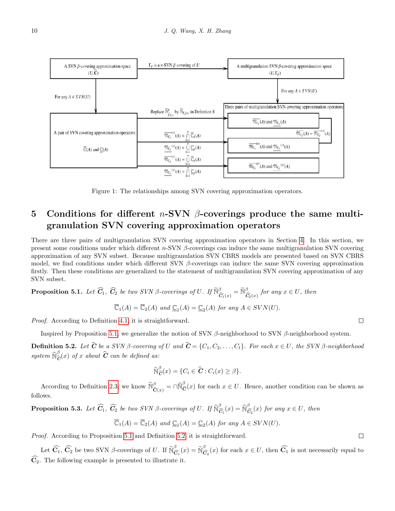<span id="page-9-1"></span>

Figure 1: The relationships among SVN covering approximation operators.

## <span id="page-9-0"></span>5 Conditions for different *n*-SVN  $\beta$ -coverings produce the same multigranulation SVN covering approximation operators

There are three pairs of multigranulation SVN covering approximation operators in Section [4.](#page-3-0) In this section, we present some conditions under which different  $n$ -SVN  $\beta$ -coverings can induce the same multigranulation SVN covering approximation of any SVN subset. Because multigranulation SVN CBRS models are presented based on SVN CBRS model, we find conditions under which different SVN  $\beta$ -coverings can induce the same SVN covering approximation firstly. Then these conditions are generalized to the statement of multigranulation SVN covering approximation of any SVN subset.

<span id="page-9-2"></span>**Proposition 5.1.** Let  $\widehat{C}_1$ ,  $\widehat{C}_2$  be two SVN  $\beta$ -coverings of U. If  $\widetilde{\mathbb{N}}_{\widehat{C}_1(x)}^{\beta} = \widetilde{\mathbb{N}}_{\widehat{C}_2(x)}^{\beta}$  for any  $x \in U$ , then

$$
\overline{\mathbb{C}}_1(A) = \overline{\mathbb{C}}_2(A) \text{ and } \underline{\mathbb{C}}_1(A) = \underline{\mathbb{C}}_2(A) \text{ for any } A \in SVN(U).
$$

Proof. According to Definition [4.1,](#page-3-5) it is straightforward.

Inspired by Proposition [5.1,](#page-9-2) we generalize the notion of SVN β-neighborhood to SVN β-neighborhood system.

<span id="page-9-3"></span>**Definition 5.2.** Let  $\hat{\mathbf{C}}$  be a SVN  $\beta$ -covering of U and  $\hat{\mathbf{C}} = \{C_1, C_2, \ldots, C_l\}$ . For each  $x \in U$ , the SVN  $\beta$ -neighborhood system  $\widehat{\aleph}_{\widehat{\mathcal{C}}}^{\beta}(x)$  of x about  $\widehat{\mathcal{C}}$  can be defined as:

$$
\widehat{\mathbb{N}}_{\widehat{\mathbf{C}}}^{\beta}(x) = \{ C_i \in \widehat{\mathbf{C}} : C_i(x) \geq \beta \}.
$$

According to Definition [2.3,](#page-2-6) we know  $\tilde{\mathbb{N}}_{\hat{\mathbf{C}}(x)}^{\beta} = \cap \hat{\mathbb{N}}_{\hat{\mathbf{C}}(x)}^{\beta}$  for each  $x \in U$ . Hence, another condition can be shown as follows.

<span id="page-9-5"></span>**Proposition 5.3.** Let  $\widehat{C}_1$ ,  $\widehat{C}_2$  be two SVN  $\beta$ -coverings of U. If  $\widehat{\mathbb{N}}_{\widehat{\mathbb{C}}}^{\beta}$  $\frac{\beta}{\widehat{C}_1}(x) = \widehat{\mathbb{N}}_{\widehat{\mathbb{C}}}^{\beta}$  $\sum_{i=1}^{\infty}$  (x) for any  $x \in U$ , then

$$
\overline{\mathbb{C}}_1(A) = \overline{\mathbb{C}}_2(A) \text{ and } \underline{\mathbb{C}}_1(A) = \underline{\mathbb{C}}_2(A) \text{ for any } A \in SVN(U).
$$

Proof. According to Proposition [5.1](#page-9-2) and Definition [5.2,](#page-9-3) it is straightforward.

<span id="page-9-4"></span>Let  $\widehat{C}_1$ ,  $\widehat{C}_2$  be two SVN  $\beta$ -coverings of U. If  $\widetilde{N}_{\bar{C}}^{\beta}$  $\frac{\beta}{\widehat{\mathbf{C}}_1}(x) = \widetilde{\mathbb{N}}_{\widetilde{\mathbf{C}}}^{\beta}$  $\widehat{C}_2(x)$  for each  $x \in U$ , then  $C_1$  is not necessarily equal to  $\widehat{\mathbf{C}}_2$ . The following example is presented to illustrate it.

 $\Box$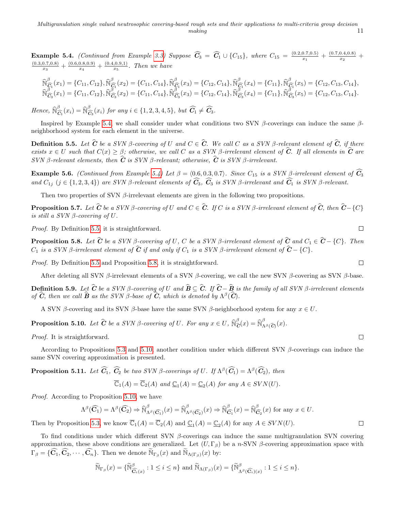**Example 5.4.** (Continued from Example [3.3\)](#page-2-5) Suppose  $\widehat{C}_3 = \widehat{C}_1 \cup \{C_{15}\}$ , where  $C_{15} = \frac{(0.2,0.7,0.5)}{x_1}$  $\frac{(0.7,0.5)}{x_1} + \frac{(0.7,0.4,0.8)}{x_2}$  $\frac{0.4,0.8)}{x_2}$  +  $(0.3, 0.7, 0.8)$  $\frac{(0.7,0.8)}{x_3}+\frac{(0.6,0.8,0.9)}{x_4}$  $\frac{(0.8,0.9)}{x_4} + \frac{(0.4,0.9,1)}{x_5}$  $\frac{1,0.9,1)}{x_5}$ . Then we have

$$
\widehat{\mathbb{N}}_{\widehat{G}_1}^{\beta}(x_1) = \{C_{11}, C_{12}\}, \widehat{\mathbb{N}}_{\widehat{G}_1}^{\beta}(x_2) = \{C_{11}, C_{14}\}, \widehat{\mathbb{N}}_{\widehat{G}_1}^{\beta}(x_3) = \{C_{12}, C_{14}\}, \widehat{\mathbb{N}}_{\widehat{G}_1}^{\beta}(x_4) = \{C_{11}\}, \widehat{\mathbb{N}}_{\widehat{G}_1}^{\beta}(x_5) = \{C_{12}, C_{13}, C_{14}\}, \widehat{\mathbb{N}}_{\widehat{G}_3}^{\beta}(x_1) = \{C_{11}, C_{12}\}, \widehat{\mathbb{N}}_{\widehat{G}_3}^{\beta}(x_2) = \{C_{11}, C_{14}\}, \widehat{\mathbb{N}}_{\widehat{G}_3}^{\beta}(x_3) = \{C_{12}, C_{14}\}, \widehat{\mathbb{N}}_{\widehat{G}_3}^{\beta}(x_4) = \{C_{11}\}, \widehat{\mathbb{N}}_{\widehat{G}_3}^{\beta}(x_5) = \{C_{12}, C_{13}, C_{14}\}.
$$

Hence,  $\widehat{\aleph}_{\widehat{\mathsf{C}}}^{\beta}$  $\frac{\beta}{\widehat{C}_1}(x_i) = \widehat{\mathbb{N}}_{\widehat{\mathbb{C}}}^{\beta}$  $C_{\widehat{C}_3}(x_i)$  for any  $i \in \{1, 2, 3, 4, 5\}$ , but  $C_1 \neq C_3$ .

Inspired by Example [5.4,](#page-9-4) we shall consider under what conditions two SVN  $\beta$ -coverings can induce the same  $\beta$ neighborhood system for each element in the universe.

<span id="page-10-0"></span>**Definition 5.5.** Let  $\hat{\mathbf{C}}$  be a SVN  $\beta$ -covering of U and  $C \in \hat{\mathbf{C}}$ . We call C as a SVN  $\beta$ -relevant element of  $\hat{\mathbf{C}}$ , if there exists  $x \in U$  such that  $C(x) \geq \beta$ ; otherwise, we call C as a SVN  $\beta$ -irrelevant element of C. If all elements in C are SVN β-relevant elements, then  $\hat{C}$  is SVN β-relevant; otherwise,  $\hat{C}$  is SVN β-irrelevant.

**Example 5.6.** (Continued from Example [5.4\)](#page-9-4) Let  $\beta = \langle 0.6, 0.3, 0.7 \rangle$ . Since C<sub>15</sub> is a SVN  $\beta$ -irrelevant element of  $\hat{C}_3$ and  $C_{1j}$  (j  $\in$  {1, 2, 3, 4}) are SVN  $\beta$ -relevant elements of  $\widehat{C}_3$ ,  $\widehat{C}_3$  is SVN  $\beta$ -irrelevant and  $\widehat{C}_1$  is SVN  $\beta$ -relevant.

Then two properties of SVN  $\beta$ -irrelevant elements are given in the following two propositions.

**Proposition 5.7.** Let  $\hat{\mathbf{C}}$  be a SVN  $\beta$ -covering of U and  $C \in \hat{\mathbf{C}}$ . If C is a SVN  $\beta$ -irrelevant element of  $\hat{\mathbf{C}}$ , then  $\hat{\mathbf{C}}$ -{C} is still a  $SVN \beta$ -covering of  $U$ .

Proof. By Definition [5.5,](#page-10-0) it is straightforward.

<span id="page-10-1"></span>**Proposition 5.8.** Let  $\hat{\mathbf{C}}$  be a SVN  $\beta$ -covering of U, C be a SVN  $\beta$ -irrelevant element of  $\hat{\mathbf{C}}$  and  $C_1 \in \hat{\mathbf{C}} - \{C\}$ . Then  $C_1$  is a SVN β-irrelevant element of  $\hat{\mathbf{C}}$  if and only if  $C_1$  is a SVN β-irrelevant element of  $\hat{\mathbf{C}}$  – {C}.

Proof. By Definition [5.5](#page-10-0) and Proposition [5.8,](#page-10-1) it is straightforward.

After deleting all SVN β-irrelevant elements of a SVN β-covering, we call the new SVN β-covering as SVN β-base.

**Definition 5.9.** Let  $\hat{\mathbf{C}}$  be a SVN  $\beta$ -covering of U and  $\hat{\mathbf{B}} \subseteq \hat{\mathbf{C}}$ . If  $\hat{\mathbf{C}} - \hat{\mathbf{B}}$  is the family of all SVN  $\beta$ -irrelevant elements of  $\widehat{C}$ , then we call  $\widehat{B}$  as the SVN  $\beta$ -base of  $\widehat{C}$ , which is denoted by  $\Lambda^{\beta}(\widehat{C})$ .

A SVN  $\beta$ -covering and its SVN  $\beta$ -base have the same SVN  $\beta$ -neighborhood system for any  $x \in U$ .

<span id="page-10-2"></span>**Proposition 5.10.** Let  $\hat{\mathbf{C}}$  be a SVN  $\beta$ -covering of U. For any  $x \in U$ ,  $\widehat{\mathbb{N}}_{\widehat{\mathbf{C}}}^{\beta}(x) = \widehat{\mathbb{N}}_{\Lambda}^{\beta}$  $\int_{\Lambda^{\beta}(\widehat{\mathcal{C}})}^{0}(x).$ 

Proof. It is straightforward.

According to Propositions [5.3](#page-9-5) and [5.10,](#page-10-2) another condition under which different SVN  $\beta$ -coverings can induce the same SVN covering approximation is presented.

<span id="page-10-3"></span>**Proposition 5.11.** Let  $\widehat{C_1}$ ,  $\widehat{C_2}$  be two SVN  $\beta$ -coverings of U. If  $\Lambda^{\beta}(\widehat{C_1}) = \Lambda^{\beta}(\widehat{C_2})$ , then

$$
\overline{\mathbb{C}}_1(A) = \overline{\mathbb{C}}_2(A) \text{ and } \underline{\mathbb{C}}_1(A) = \underline{\mathbb{C}}_2(A) \text{ for any } A \in SVN(U).
$$

Proof. According to Proposition [5.10,](#page-10-2) we have

$$
\Lambda^{\beta}(\widehat{C_1}) = \Lambda^{\beta}(\widehat{C_2}) \Rightarrow \widehat{\mathbb{N}}^{\beta}_{\Lambda^{\beta}(\widehat{C_1})}(x) = \widehat{\mathbb{N}}^{\beta}_{\Lambda^{\beta}(\widehat{C_2})}(x) \Rightarrow \widehat{\mathbb{N}}^{\beta}_{\widehat{C_1}}(x) = \widehat{\mathbb{N}}^{\beta}_{\widehat{C_2}}(x) \text{ for any } x \in U.
$$
  
tion 5.3, we know  $\overline{\mathbb{C}}_1(A) = \overline{\mathbb{C}}_2(A)$  and  $\mathbb{C}_1(A) = \mathbb{C}_2(A)$  for any  $A \in SVN(U)$ .

Then by Proposition [5.3,](#page-9-5) we know  $\overline{\mathbb{C}}_1(A) = \overline{\mathbb{C}}_2(A)$  and  $\underline{\mathbb{C}}_1(A) = \underline{\mathbb{C}}_2(A)$  for any  $A \in SVN(U)$ .

To find conditions under which different SVN  $\beta$ -coverings can induce the same multigranulation SVN covering approximation, these above conditions are generalized. Let  $(U, \Gamma_{\beta})$  be a n-SVN  $\beta$ -covering approximation space with  $\Gamma_{\beta} = \{ \widehat{\mathbf{C}}_1, \widehat{\mathbf{C}}_2, \cdots, \widehat{\mathbf{C}}_n \}.$  Then we denote  $\widetilde{\mathbb{N}}_{\Gamma_{\beta}}(x)$  and  $\widetilde{\mathbb{N}}_{\Lambda(\Gamma_{\beta})}(x)$  by:

$$
\widetilde{\mathbb{N}}_{\Gamma_{\beta}}(x) = \{ \widetilde{\mathbb{N}}^{\beta}_{\widehat{\mathbf{C}}_{i}(x)} : 1 \leq i \leq n \} \text{ and } \widetilde{\mathbb{N}}_{\Lambda(\Gamma_{\beta})}(x) = \{ \widetilde{\mathbb{N}}^{\beta}_{\Lambda^{\beta}(\widehat{\mathbf{C}}_{i})(x)} : 1 \leq i \leq n \}.
$$

$$
\Box
$$

 $\Box$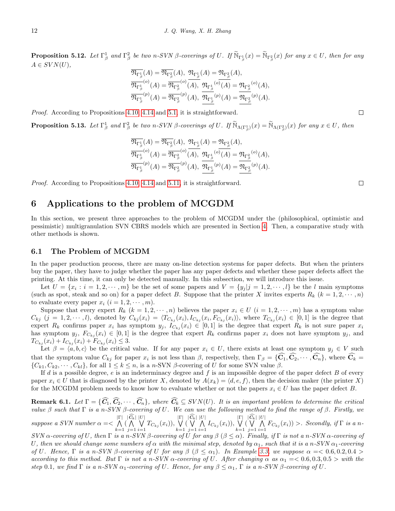**Proposition 5.12.** Let  $\Gamma^1_\beta$  and  $\Gamma^2_\beta$  be two n-SVN  $\beta$ -coverings of U. If  $\widetilde{\mathbb{N}}_{\Gamma^1_\beta}(x) = \widetilde{\mathbb{N}}_{\Gamma^2_\beta}(x)$  for any  $x \in U$ , then for any  $A \in SVN(U),$ 

$$
\overline{\mathfrak{N}_{\Gamma_{\beta}^{1}}}(A) = \overline{\mathfrak{N}_{\Gamma_{\beta}^{2}}}(A), \ \mathfrak{N}_{\Gamma_{\beta}^{1}}(A) = \mathfrak{N}_{\Gamma_{\beta}^{2}}(A),
$$
\n
$$
\overline{\mathfrak{N}_{\Gamma_{\beta}^{1}}}^{(o)}(A) = \overline{\mathfrak{N}_{\Gamma_{\beta}^{2}}}^{(o)}(A), \ \mathfrak{N}_{\Gamma_{\beta}^{1}}^{(o)}(A) = \mathfrak{N}_{\Gamma_{\beta}^{2}}^{(o)}(A),
$$
\n
$$
\overline{\mathfrak{N}_{\Gamma_{\beta}^{1}}}^{(p)}(A) = \overline{\mathfrak{N}_{\Gamma_{\beta}^{2}}}^{(p)}(A), \ \overline{\mathfrak{N}_{\Gamma_{\beta}^{1}}}^{(p)}(A) = \overline{\mathfrak{N}_{\Gamma_{\beta}^{2}}}^{(p)}(A).
$$

Proof. According to Propositions [4.10,](#page-7-0) [4.14](#page-8-0) and [5.1,](#page-9-2) it is straightforward.

**Proposition 5.13.** Let  $\Gamma^1_\beta$  and  $\Gamma^2_\beta$  be two n-SVN  $\beta$ -coverings of U. If  $\widetilde{\mathbb{N}}_{\Lambda(\Gamma^1_\beta)}(x) = \widetilde{\mathbb{N}}_{\Lambda(\Gamma^2_\beta)}(x)$  for any  $x \in U$ , then

$$
\mathfrak{N}_{\Gamma_{\beta}^{1}}(A) = \mathfrak{N}_{\Gamma_{\beta}^{2}}(A), \ \mathfrak{N}_{\Gamma_{\beta}^{1}}(A) = \mathfrak{N}_{\Gamma_{\beta}^{2}}(A), \n\overline{\mathfrak{N}_{\Gamma_{\beta}^{1}}}^{(o)}(A) = \overline{\mathfrak{N}_{\Gamma_{\beta}^{2}}}^{(o)}(\overline{A}), \ \mathfrak{N}_{\Gamma_{\beta}^{1}}^{(o)}(\overline{A}) = \mathfrak{N}_{\Gamma_{\beta}^{2}}^{(o)}(A), \n\overline{\mathfrak{N}_{\Gamma_{\beta}^{1}}}^{(p)}(A) = \overline{\mathfrak{N}_{\Gamma_{\beta}^{2}}}^{(p)}(A), \ \overline{\mathfrak{N}_{\Gamma_{\beta}^{1}}}^{(p)}(A) = \overline{\mathfrak{N}_{\Gamma_{\beta}^{2}}}^{(p)}(A).
$$

Proof. According to Propositions [4.10,](#page-7-0) [4.14](#page-8-0) and [5.11,](#page-10-3) it is straightforward.

### <span id="page-11-0"></span>6 Applications to the problem of MCGDM

In this section, we present three approaches to the problem of MCGDM under the (philosophical, optimistic and pessimistic) multigranulation SVN CBRS models which are presented in Section [4.](#page-3-0) Then, a comparative study with other methods is shown.

#### 6.1 The Problem of MCGDM

In the paper production process, there are many on-line detection systems for paper defects. But when the printers buy the paper, they have to judge whether the paper has any paper defects and whether these paper defects affect the printing. At this time, it can only be detected manually. In this subsection, we will introduce this issue.

Let  $U = \{x_i : i = 1, 2, \dots, m\}$  be the set of some papers and  $V = \{y_j | j = 1, 2, \dots, l\}$  be the l main symptoms (such as spot, steak and so on) for a paper defect B. Suppose that the printer X invites experts  $R_k$   $(k = 1, 2, \dots, n)$ to evaluate every paper  $x_i$   $(i = 1, 2, \dots, m)$ .

Suppose that every expert  $R_k$   $(k = 1, 2, \dots, n)$  believes the paper  $x_i \in U$   $(i = 1, 2, \dots, m)$  has a symptom value  $C_{kj}$   $(j = 1, 2, \dots, l)$ , denoted by  $C_{kj}(x_i) = \langle T_{C_{kj}}(x_i), I_{C_{kj}}(x_i, F_{C_{kj}}(x_i)) \rangle$ , where  $T_{C_{kj}}(x_i) \in [0, 1]$  is the degree that expert  $R_k$  confirms paper  $x_i$  has symptom  $y_j$ ,  $I_{C_{kj}}(x_i) \in [0,1]$  is the degree that expert  $R_k$  is not sure paper  $x_i$ has symptom  $y_j$ ,  $F_{C_{ki}}(x_i) \in [0,1]$  is the degree that expert  $R_k$  confirms paper  $x_i$  does not have symptom  $y_j$ , and  $T_{C_{kj}}(x_i) + I_{C_{kj}}(x_i) + F_{C_{kj}}(x_i) \leq 3.$ 

Let  $\beta = \langle a, b, c \rangle$  be the critical value. If for any paper  $x_i \in U$ , there exists at least one symptom  $y_j \in V$  such that the symptom value  $C_{kj}$  for paper  $x_i$  is not less than  $\beta$ , respectively, then  $\Gamma_{\beta} = {\mathbf{C}_1, \mathbf{C}_2, \cdots, \mathbf{C}_n}$ , where  $\mathbf{C}_k =$  $\{C_{k1}, C_{k2}, \cdots, C_{kl}\},$  for all  $1 \leq k \leq n$ , is a n-SVN  $\beta$ -covering of U for some SVN value  $\beta$ .

If d is a possible degree, e is an indeterminacy degree and f is an impossible degree of the paper defect  $B$  of every paper  $x_i \in U$  that is diagnosed by the printer X, denoted by  $A(x_k) = \langle d, e, f \rangle$ , then the decision maker (the printer X) for the MCGDM problem needs to know how to evaluate whether or not the papers  $x_i \in U$  has the paper defect B.

**Remark 6.1.** Let  $\Gamma = \{\widehat{C}_1, \widehat{C}_2, \cdots, \widehat{C}_n\}$ , where  $\widehat{C}_k \subseteq SVN(U)$ . It is an important problem to determine the critical value  $\beta$  such that  $\Gamma$  is a n-SVN  $\beta$ -covering of U. We can use the following method to find the range of  $\beta$ . Firstly, we | V Γ|  $\frac{|C_k|}{\bigwedge}$  $\bigvee$ | W Γ|  $\frac{|C_k|}{\bigvee}$  $\bigwedge^{ |U|}$ | W Γ|  $\frac{|C_k|}{\bigvee}$  $\bigwedge^{|\mathnormal{U}|}$ 

suppose a SVN number  $\alpha =$  $k=1$ (  $j=1$  $\bigvee_{i=1} T_{C_{kj}}(x_i)$ ,  $k=1$ (  $j=1$  $\bigwedge_{i=1} I_{C_{kj}}(x_i)$ ),  $k=1$ (  $j=1$  $\bigwedge_{i=1}$   $F_{C_{kj}}(x_i)$  > Secondly, if  $\Gamma$  is a n-

SVN  $\alpha$ -covering of U, then  $\Gamma$  is a n-SVN  $\beta$ -covering of U for any  $\beta$  ( $\beta \leq \alpha$ ). Finally, if  $\Gamma$  is not a n-SVN  $\alpha$ -covering of U, then we should change some numbers of  $\alpha$  with the minimal step, denoted by  $\alpha_1$ , such that it is a n-SVN  $\alpha_1$ -covering of U. Hence, Γ is a n-SVN β-covering of U for any  $\beta$  ( $\beta \leq \alpha_1$ ). In Example [3.3,](#page-2-5) we suppose  $\alpha = 0.6, 0.2, 0.4 >$ according to this method. But  $\Gamma$  is not a n-SVN  $\alpha$ -covering of U. After changing  $\alpha$  as  $\alpha_1 = 0.6, 0.3, 0.5 >$  with the step 0.1, we find  $\Gamma$  is a n-SVN  $\alpha_1$ -covering of U. Hence, for any  $\beta \leq \alpha_1$ ,  $\Gamma$  is a n-SVN  $\beta$ -covering of U.

 $\Box$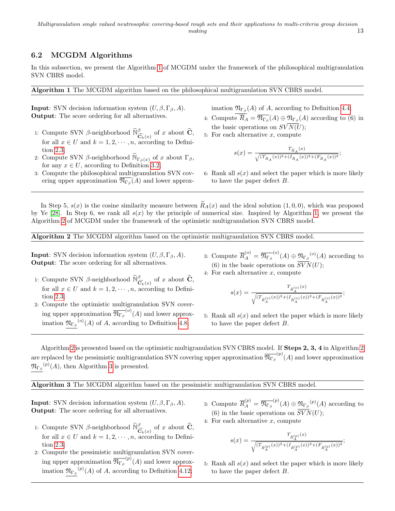#### 6.2 MCGDM Algorithms

In this subsection, we present the Algorithm [1](#page-0-0) of MCGDM under the framework of the philosophical multigranulation SVN CBRS model.

Algorithm 1 The MCGDM algorithm based on the philosophical multigranulation SVN CBRS model.

**Input**: SVN decision information system  $(U, \beta, \Gamma_{\beta}, A)$ . Output: The score ordering for all alternatives.

- 1: Compute SVN  $\beta$ -neighborhood  $\widetilde{\mathbb{N}}^{\beta}_{\widehat{\mathbf{G}}_k(x)}$  of x about  $\widehat{\mathbf{C}}$ , for all  $x \in U$  and  $k = 1, 2, \dots, n$ , according to Definition [2.3;](#page-2-6)
- 2: Compute SVN β-neighborhood  $\widetilde{N}_{\Gamma_{\beta}}(x)$  of x about  $\Gamma_{\beta}$ , for any  $x \in U$ , according to Definition [3.2;](#page-2-4)
- 3: Compute the philosophical multigranulation SVN covering upper approximation  $\mathfrak{N}_{\Gamma_{\beta}}(A)$  and lower approx-

imation  $\mathfrak{N}_{\Gamma_{\beta}}(A)$  of A, according to Definition [4.4;](#page-5-0)

- 4: Compute  $\overline{R}_A = \overline{\mathfrak{N}_{\Gamma_\beta}}(A) \oplus \mathfrak{N}_{\Gamma_\beta}(A)$  according to (6) in the basic operations on  $SVN(U);$
- 5: For each alternative  $x$ , compute

$$
s(x)=\frac{T_{\tilde{R}_A}(x)}{\sqrt{(T_{\tilde{R}_A}(x))^2+(I_{\tilde{R}_A}(x))^2+(F_{\tilde{R}_A}(x))^2}};
$$

6: Rank all  $s(x)$  and select the paper which is more likely to have the paper defect B.

In Step 5,  $s(x)$  is the cosine similarity measure between  $\widetilde{R}_A(x)$  and the ideal solution  $(1,0,0)$ , which was proposed by Ye [\[28\]](#page-17-8). In Step 6, we rank all  $s(x)$  by the principle of numerical size. Inspired by Algorithm [1,](#page-0-0) we present the Algorithm [2](#page-0-0) of MCGDM under the framework of the optimistic multigranulation SVN CBRS model.

Algorithm 2 The MCGDM algorithm based on the optimistic multigranulation SVN CBRS model.

**Input:** SVN decision information system  $(U, \beta, \Gamma_{\beta}, A)$ . Output: The score ordering for all alternatives.

2: Compute the optimistic multigranulation SVN covering upper approximation  $\overline{\mathfrak{N}_{\Gamma_\beta}}^{(o)}(A)$  and lower approximation  $\mathfrak{N}_{\Gamma_{\beta}}^{(o)}(A)$  of A, according to Definition [4.8;](#page-6-1)

tion [2.3;](#page-2-6)

- 3: Compute  $\overline{R}_A^{(o)} = \overline{\mathfrak{N}_{\Gamma_\beta}}^{(o)}(A) \oplus \mathfrak{N}_{\Gamma_\beta}^{(o)}(A)$  according to (6) in the basic operations on  $SVN(U);$
- 1: Compute SVN β-neighborhood  $\widetilde{\mathbb{N}}_{\widehat{G}_k(x)}^{\beta}$  of x about  $\widehat{C}$ , for all  $x \in U$  and  $k = 1, 2, \dots, n$ , according to Defini-4: For each alternative  $x$ , compute

$$
(x)=\frac{T_{\tilde{R}_A^{(o)}}(x)}{\sqrt{(T_{\tilde{R}_A^{(o)}}(x))^2+(I_{\tilde{R}_A^{(o)}}(x))^2+(F_{\tilde{R}_A^{(o)}}(x))^2}};
$$

5: Rank all  $s(x)$  and select the paper which is more likely to have the paper defect B.

Algorithm [2](#page-0-0) is presented based on the optimistic multigranulation SVN CBRS model. If Steps 2, 3, 4 in Algorithm [2](#page-0-0) are replaced by the pessimistic multigranulation SVN covering upper approximation  $\overline{\mathfrak{N}_{\Gamma_\beta}}^{(p)}(A)$  and lower approximation  $\mathfrak{N}_{\Gamma_{\beta}}^{(p)}(A)$ , then Algorithm [3](#page-0-0) is presented.

Algorithm 3 The MCGDM algorithm based on the pessimistic multigranulation SVN CBRS model.

**Input**: SVN decision information system  $(U, \beta, \Gamma_{\beta}, A)$ . Output: The score ordering for all alternatives.

- 1: Compute SVN β-neighborhood  $\widetilde{\mathbb{N}}_{\widehat{G}_k(x)}^{\beta}$  of x about  $\widehat{C}$ , for all  $x \in U$  and  $k = 1, 2, \dots, n$ , according to Definition [2.3;](#page-2-6)
- 2: Compute the pessimistic multigranulation SVN covering upper approximation  $\overline{\mathfrak{N}_{\Gamma_\beta}}^{(p)}(A)$  and lower approximation  $\mathfrak{N}_{\Gamma_{\beta}}^{(p)}(A)$  of A, according to Definition [4.12;](#page-7-2)
- 3: Compute  $\overline{R}_A^{(p)} = \overline{\mathfrak{N}_{\Gamma_\beta}}^{(p)}(A) \oplus \mathfrak{N}_{\Gamma_\beta}^{(p)}(A)$  according to (6) in the basic operations on  $SVN(U)$ ;
- 4: For each alternative x, compute

 $\boldsymbol{s}$ 

$$
s(x)=\frac{T_{\tilde{R}^{(p)}_A}(x)}{\sqrt{(T_{\tilde{R}^{(p)}_A}(x))^2+(I_{\tilde{R}^{(p)}_A}(x))^2+(F_{\tilde{R}^{(p)}_A}(x))^2}};
$$

5: Rank all  $s(x)$  and select the paper which is more likely to have the paper defect B.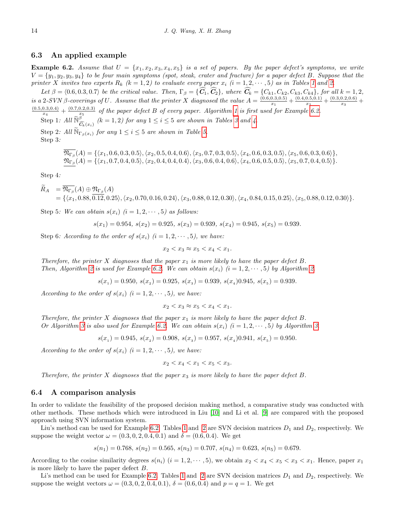#### 6.3 An applied example

<span id="page-13-0"></span>**Example 6.2.** Assume that  $U = \{x_1, x_2, x_3, x_4, x_5\}$  is a set of papers. By the paper defect's symptoms, we write  $V = \{y_1, y_2, y_3, y_4\}$  to be four main symptoms (spot, steak, crater and fracture) for a paper defect B. Suppose that the printer X invites two experts  $R_k$   $(k = 1, 2)$  $(k = 1, 2)$  $(k = 1, 2)$  to evaluate every paper  $x_i$   $(i = 1, 2, \dots, 5)$  as in Tables 1 and [2.](#page-2-2)

Let  $\beta = \langle 0.6, 0.3, 0.7 \rangle$  be the critical value. Then,  $\Gamma_{\beta} = \{C_1, C_2\}$ , where  $C_k = \{C_{k1}, C_{k2}, C_{k3}, C_{k4}\}$ , for all  $k = 1, 2,$ is a 2-SVN  $\beta$ -coverings of U. Assume that the printer X diagnosed the value  $A = \frac{(0.6,0.3,0.5)}{x_1}$  $\frac{(0.3,0.5)}{x_1} + \frac{(0.4,0.5,0.1)}{x_2}$  $\frac{(0.5,0.1)}{x_2} + \frac{(0.3,0.2,0.6)}{x_3}$  $\frac{0.2,0.0)}{x_3} +$  $\frac{(0.5,0.3,0.4)}{x} + \frac{(0.7,0.2,0.3)}{x}$  of the paper defect B of every paper. Algorithm [1](#page-0-0) is first used for Example [6.2.](#page-13-0)

 $x_4$  is  $x_5$  by the paper action boy corry paper. Engines 1 is just<br>Step 1: All  $\sum_{k=0}^{x_5}$  (k = 1, 2) for any  $1 \le i \le 5$  are shown in Tables [3](#page-2-3) and [4.](#page-2-3)

Step 2: All  $\widetilde{\mathbb{N}}_{\Gamma_{\beta}(x_i)}$  for any  $1 \leq i \leq 5$  are shown in Table [5.](#page-3-1) Step 3:

$$
\mathfrak{N}_{\Gamma_{\beta}}(A) = \{ \langle x_1, 0.6, 0.3, 0.5 \rangle, \langle x_2, 0.5, 0.4, 0.6 \rangle, \langle x_3, 0.7, 0.3, 0.5 \rangle, \langle x_4, 0.6, 0.3, 0.5 \rangle, \langle x_5, 0.6, 0.3, 0.6 \rangle \},
$$
\n
$$
\mathfrak{N}_{\Gamma_{\beta}}(A) = \{ \langle x_1, 0.7, 0.4, 0.5 \rangle, \langle x_2, 0.4, 0.4, 0.4 \rangle, \langle x_3, 0.6, 0.4, 0.6 \rangle, \langle x_4, 0.6, 0.5, 0.5 \rangle, \langle x_5, 0.7, 0.4, 0.5 \rangle \}.
$$

Step 4:

 $R_A = \mathfrak{N}_{\Gamma_\beta}(A) \oplus \mathfrak{N}_{\Gamma_\beta}(A)$  $=\{\langle x_1, 0.88, 0.12, 0.25\rangle, \langle x_2, 0.70, 0.16, 0.24\rangle, \langle x_3, 0.88, 0.12, 0.30\rangle, \langle x_4, 0.84, 0.15, 0.25\rangle, \langle x_5, 0.88, 0.12, 0.30\rangle\}.$ 

Step 5: We can obtain  $s(x_i)$   $(i = 1, 2, \dots, 5)$  as follows:

$$
s(x_1) = 0.954, s(x_2) = 0.925, s(x_3) = 0.939, s(x_4) = 0.945, s(x_5) = 0.939.
$$

Step 6: According to the order of  $s(x_i)$   $(i = 1, 2, \dots, 5)$ , we have:

$$
x_2 < x_3 \approx x_5 < x_4 < x_1.
$$

Therefore, the printer X diagnoses that the paper  $x_1$  is more likely to have the paper defect B. Then, Algorithm [2](#page-0-0) is used for Example [6.2.](#page-13-0) We can obtain  $s(x_i)$   $(i = 1, 2, \dots, 5)$  by Algorithm [2.](#page-0-0)

 $s(x_1) = 0.950, s(x_2) = 0.925, s(x_3) = 0.939, s(x_4)0.945, s(x_5) = 0.939.$ 

According to the order of  $s(x_i)$   $(i = 1, 2, \dots, 5)$ , we have:

$$
x_2 < x_3 \approx x_5 < x_4 < x_1.
$$

Therefore, the printer X diagnoses that the paper  $x_1$  is more likely to have the paper defect B. Or Algorithm [3](#page-0-0) is also used for Example [6.2.](#page-13-0) We can obtain  $s(x_i)$   $(i = 1, 2, \dots, 5)$  by Algorithm [3.](#page-0-0)

 $s(x_1) = 0.945, s(x_2) = 0.908, s(x_3) = 0.957, s(x_4)0.941, s(x_5) = 0.950.$ 

According to the order of  $s(x_i)$   $(i = 1, 2, \dots, 5)$ , we have:

$$
x_2 < x_4 < x_1 < x_5 < x_3.
$$

Therefore, the printer X diagnoses that the paper  $x_3$  is more likely to have the paper defect B.

#### 6.4 A comparison analysis

In order to validate the feasibility of the proposed decision making method, a comparative study was conducted with other methods. These methods which were introduced in Liu [\[10\]](#page-16-20) and Li et al. [\[9\]](#page-16-21) are compared with the proposed approach using SVN information system.

Liu's method can be used for Example [6.2.](#page-13-0) Tables [1](#page-2-2) and [2](#page-2-2) are SVN decision matrices  $D_1$  and  $D_2$ , respectively. We suppose the weight vector  $\omega = (0.3, 0, 2, 0.4, 0.1)$  and  $\delta = (0.6, 0.4)$ . We get

$$
s(n_1) = 0.768, s(n_2) = 0.565, s(n_3) = 0.707, s(n_4) = 0.623, s(n_5) = 0.679.
$$

According to the cosine similarity degrees  $s(n_i)$   $(i = 1, 2, \dots, 5)$ , we obtain  $x_2 < x_4 < x_5 < x_3 < x_1$ . Hence, paper  $x_1$ is more likely to have the paper defect B.

Li's method can be used for Example [6.2.](#page-13-0) Tables [1](#page-2-2) and [2](#page-2-2) are SVN decision matrices  $D_1$  and  $D_2$ , respectively. We suppose the weight vectors  $\omega = (0.3, 0, 2, 0.4, 0.1), \delta = (0.6, 0.4)$  and  $p = q = 1$ . We get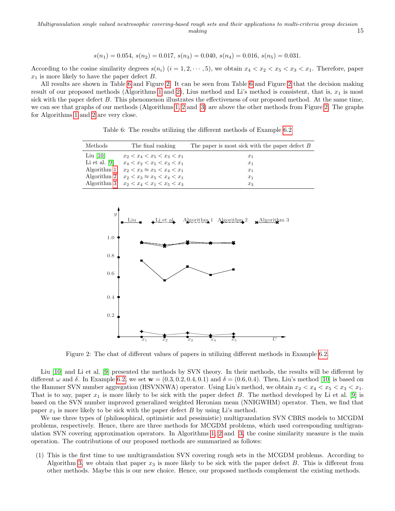$$
s(n_1) = 0.054, s(n_2) = 0.017, s(n_3) = 0.040, s(n_4) = 0.016, s(n_5) = 0.031.
$$

According to the cosine similarity degrees  $s(n_i)$   $(i = 1, 2, \dots, 5)$ , we obtain  $x_4 < x_2 < x_5 < x_3 < x_1$ . Therefore, paper  $x_1$  is more likely to have the paper defect B.

<span id="page-14-0"></span>All results are shown in Table [6](#page-14-0) and Figure [2.](#page-14-1) It can be seen from Table [6](#page-14-0) and Figure [2](#page-14-1) that the decision making result of our proposed methods (Algorithms [1](#page-0-0) and [2\)](#page-0-0), Lius method and Li's method is consistent, that is,  $x_1$  is most sick with the paper defect  $B$ . This phenomenon illustrates the effectiveness of our proposed method. At the same time, we can see that graphs of our methods (Algorithms [1, 2](#page-0-0) and [3\)](#page-0-0) are above the other methods from Figure [2.](#page-14-1) The graphs for Algorithms [1](#page-0-0) and [2](#page-0-0) are very close.

| Methods         | The final ranking                               | The paper is most sick with the paper defect $B$ |
|-----------------|-------------------------------------------------|--------------------------------------------------|
| Liu $[10]$      | $x_2 < x_4 < x_5 < x_3 < x_1$                   | $x_1$                                            |
| Li et al. $[9]$ | $x_4 < x_2 < x_5 < x_3 < x_1$                   | $x_1$                                            |
|                 | Algorithm 1 $x_2 < x_3 \approx x_5 < x_4 < x_1$ | $x_1$                                            |
|                 | Algorithm 2 $x_2 < x_3 \approx x_5 < x_4 < x_1$ | $x_1$                                            |
|                 | Algorithm 3 $x_2 < x_4 < x_1 < x_5 < x_3$       | $x_3$                                            |

Table 6: The results utilizing the different methods of Example [6.2](#page-13-0)

<span id="page-14-1"></span>

Figure 2: The chat of different values of papers in utilizing different methods in Example [6.2.](#page-13-0)

Liu [\[10\]](#page-16-20) and Li et al. [\[9\]](#page-16-21) presented the methods by SVN theory. In their methods, the results will be different by different  $\omega$  and  $\delta$ . In Example [6.2,](#page-13-0) we set  $\mathbf{w} = (0.3, 0.2, 0.4, 0.1)$  and  $\delta = (0.6, 0.4)$ . Then, Liu's method [\[10\]](#page-16-20) is based on the Hammer SVN number aggregation (HSVNNWA) operator. Using Liu's method, we obtain  $x_2 < x_4 < x_5 < x_3 < x_1$ . That is to say, paper  $x_1$  is more likely to be sick with the paper defect B. The method developed by Li et al. [\[9\]](#page-16-21) is based on the SVN number improved generalized weighted Heronian mean (NNIGWHM) operator. Then, we find that paper  $x_1$  is more likely to be sick with the paper defect  $B$  by using Li's method.

We use three types of (philosophical, optimistic and pessimistic) multigranulation SVN CBRS models to MCGDM problems, respectively. Hence, there are three methods for MCGDM problems, which used corresponding multigranulation SVN covering approximation operators. In Algorithms [1, 2](#page-0-0) and [3,](#page-0-0) the cosine similarity measure is the main operation. The contributions of our proposed methods are summarized as follows:

(1) This is the first time to use multigranulation SVN covering rough sets in the MCGDM problems. According to Algorithm [3,](#page-0-0) we obtain that paper  $x_3$  is more likely to be sick with the paper defect B. This is different from other methods. Maybe this is our new choice. Hence, our proposed methods complement the existing methods.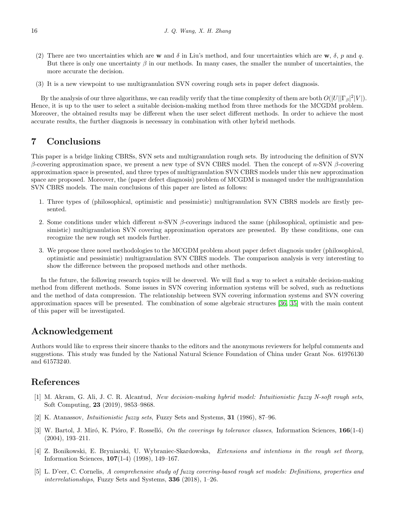- (2) There are two uncertainties which are w and  $\delta$  in Liu's method, and four uncertainties which are w,  $\delta$ , p and q. But there is only one uncertainty  $\beta$  in our methods. In many cases, the smaller the number of uncertainties, the more accurate the decision.
- (3) It is a new viewpoint to use multigranulation SVN covering rough sets in paper defect diagnosis.

By the analysis of our three algorithms, we can readily verify that the time complexity of them are both  $O(|U| |\Gamma_\beta|^2 |V|)$ . Hence, it is up to the user to select a suitable decision-making method from three methods for the MCGDM problem. Moreover, the obtained results may be different when the user select different methods. In order to achieve the most accurate results, the further diagnosis is necessary in combination with other hybrid methods.

## <span id="page-15-5"></span>7 Conclusions

This paper is a bridge linking CBRSs, SVN sets and multigranulation rough sets. By introducing the definition of SVN β-covering approximation space, we present a new type of SVN CBRS model. Then the concept of n-SVN β-covering approximation space is presented, and three types of multigranulation SVN CBRS models under this new approximation space are proposed. Moreover, the (paper defect diagnosis) problem of MCGDM is managed under the multigranulation SVN CBRS models. The main conclusions of this paper are listed as follows:

- 1. Three types of (philosophical, optimistic and pessimistic) multigranulation SVN CBRS models are firstly presented.
- 2. Some conditions under which different n-SVN  $\beta$ -coverings induced the same (philosophical, optimistic and pessimistic) multigranulation SVN covering approximation operators are presented. By these conditions, one can recognize the new rough set models further.
- 3. We propose three novel methodologies to the MCGDM problem about paper defect diagnosis under (philosophical, optimistic and pessimistic) multigranulation SVN CBRS models. The comparison analysis is very interesting to show the difference between the proposed methods and other methods.

In the future, the following research topics will be deserved. We will find a way to select a suitable decision-making method from different methods. Some issues in SVN covering information systems will be solved, such as reductions and the method of data compression. The relationship between SVN covering information systems and SVN covering approximation spaces will be presented. The combination of some algebraic structures [\[36,](#page-17-9) [35\]](#page-17-10) with the main content of this paper will be investigated.

## Acknowledgement

Authors would like to express their sincere thanks to the editors and the anonymous reviewers for helpful comments and suggestions. This study was funded by the National Natural Science Foundation of China under Grant Nos. 61976130 and 61573240.

### References

- <span id="page-15-4"></span>[1] M. Akram, G. Ali, J. C. R. Alcantud, New decision-making hybrid model: Intuitionistic fuzzy N-soft rough sets, Soft Computing, 23 (2019), 9853–9868.
- <span id="page-15-3"></span>[2] K. Atanassov, Intuitionistic fuzzy sets, Fuzzy Sets and Systems, 31 (1986), 87–96.
- <span id="page-15-0"></span>[3] W. Bartol, J. Miró, K. Pióro, F. Rosselló, *On the coverings by tolerance classes*, Information Sciences,  $166(1-4)$ (2004), 193–211.
- <span id="page-15-1"></span>[4] Z. Bonikowski, E. Bryniarski, U. Wybraniec-Skardowska, Extensions and intentions in the rough set theory, Information Sciences, 107(1-4) (1998), 149–167.
- <span id="page-15-2"></span>[5] L. D'eer, C. Cornelis, A comprehensive study of fuzzy covering-based rough set models: Definitions, properties and interrelationships, Fuzzy Sets and Systems,  $336$  (2018), 1–26.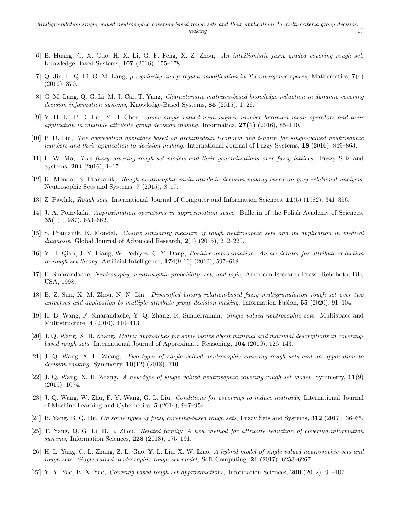- <span id="page-16-11"></span>[6] B. Huang, C. X. Guo, H. X. Li, G. F. Feng, X. Z. Zhou, An intuitionistic fuzzy graded covering rough set, Knowledge-Based Systems, 107 (2016), 155–178.
- <span id="page-16-8"></span>[7] Q. Jin, L. Q. Li, G. M. Lang, p-regularity and p-regular modification in T-convergence spaces, Mathematics, 7(4) (2019), 370.
- <span id="page-16-2"></span>[8] G. M. Lang, Q. G. Li, M. J. Cai, T. Yang, Characteristic matrixes-based knowledge reduction in dynamic covering decision information systems, Knowledge-Based Systems, 85 (2015), 1–26.
- <span id="page-16-21"></span>[9] Y. H. Li, P. D. Liu, Y. B. Chen, Some single valued neutrosophic number heronian mean operators and their application in multiple attribute group decision making, Informatica,  $27(1)$  (2016), 85–110.
- <span id="page-16-20"></span>[10] P. D. Liu, The aggregation operators based on archimedean t-conorm and t-norm for single-valued neutrosophic numbers and their application to decision making, International Journal of Fuzzy Systems, 18 (2016), 849–863.
- <span id="page-16-10"></span>[11] L. W. Ma, Two fuzzy covering rough set models and their generalizations over fuzzy lattices, Fuzzy Sets and Systems, 294 (2016), 1–17.
- <span id="page-16-14"></span>[12] K. Mondal, S. Pramanik, Rough neutrosophic multi-attribute decision-making based on grey relational analysis, Neutrosophic Sets and Systems, 7 (2015), 8–17.
- <span id="page-16-0"></span>[13] Z. Pawlak, Rough sets, International Journal of Computer and Information Sciences, 11(5) (1982), 341–356.
- <span id="page-16-5"></span>[14] J. A. Pomykala, Approximation operations in approximation space, Bulletin of the Polish Academy of Sciences, 35(1) (1987), 653–662.
- <span id="page-16-15"></span>[15] S. Pramanik, K. Mondal, Cosine similarity measure of rough neutrosophic sets and its application in medical diagnosis, Global Journal of Advanced Research, 2(1) (2015), 212-220.
- <span id="page-16-4"></span>[16] Y. H. Qian, J. Y. Liang, W. Pedrycz, C. Y. Dang, Positive approximation: An accelerator for attribute reduction in rough set theory, Artificial Intelligence,  $174(9-10)$   $(2010)$ ,  $597-618$ .
- <span id="page-16-12"></span>[17] F. Smarandache, Neutrosophy, neutrosophic probability, set, and logic, American Research Press: Rehoboth, DE, USA, 1998.
- <span id="page-16-19"></span>[18] B. Z. Sun, X. M. Zhou, N. N. Lin, Diversified binary relation-based fuzzy multigranulation rough set over two universes and application to multiple attribute group decision making, Information Fusion,  $55$  (2020), 91–104.
- <span id="page-16-13"></span>[19] H. B. Wang, F. Smarandache, Y. Q. Zhang, R. Sunderraman, Single valued neutrosophic sets, Multispace and Multistructure, 4 (2010), 410–413.
- <span id="page-16-6"></span>[20] J. Q. Wang, X. H. Zhang, Matrix approaches for some issues about minimal and maximal descriptions in coveringbased rough sets, International Journal of Approximate Reasoning, 104 (2019), 126–143.
- <span id="page-16-17"></span>[21] J. Q. Wang, X. H. Zhang, Two types of single valued neutrosophic covering rough sets and an application to decision making, Symmetry,  $10(12)$  (2018), 710.
- <span id="page-16-18"></span>[22] J. Q. Wang, X. H. Zhang, A new type of single valued neutrosophic covering rough set model, Symmetry, 11(9) (2019), 1074.
- <span id="page-16-7"></span>[23] J. Q. Wang, W. Zhu, F. Y. Wang, G. L. Liu, Conditions for coverings to induce matroids, International Journal of Machine Learning and Cybernetics, 5 (2014), 947–954.
- <span id="page-16-9"></span>[24] B. Yang, B. Q. Hu, On some types of fuzzy covering-based rough sets, Fuzzy Sets and Systems, 312 (2017), 36–65.
- <span id="page-16-3"></span>[25] T. Yang, Q. G. Li, B. L. Zhou, Related family: A new method for attribute reduction of covering information systems, Information Sciences,  $228$  (2013), 175–191.
- <span id="page-16-16"></span>[26] H. L. Yang, C. L. Zhang, Z. L. Guo, Y. L. Liu, X. W. Liao, A hybrid model of single valued neutrosophic sets and rough sets: Single valued neutrosophic rough set model, Soft Computing, 21 (2017), 6253–6267.
- <span id="page-16-1"></span>[27] Y. Y. Yao, B. X. Yao, Covering based rough set approximations, Information Sciences, 200 (2012), 91–107.